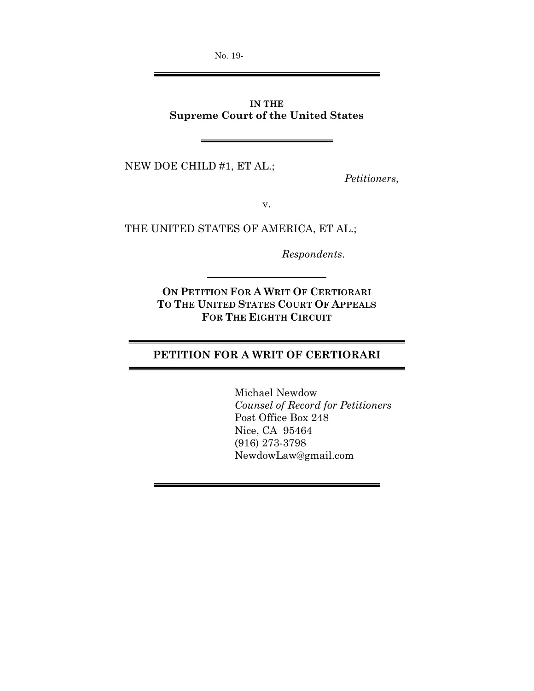No. 19-

## **IN THE Supreme Court of the United States**

NEW DOE CHILD #1, ET AL.;

*Petitioners*,

v.

THE UNITED STATES OF AMERICA, ET AL.;

*Respondents*.

**ON PETITION FOR A WRIT OF CERTIORARI TO THE UNITED STATES COURT OF APPEALS FOR THE EIGHTH CIRCUIT**

# **PETITION FOR A WRIT OF CERTIORARI**

Michael Newdow *Counsel of Record for Petitioners*  Post Office Box 248 Nice, CA 95464 (916) 273-3798 NewdowLaw@gmail.com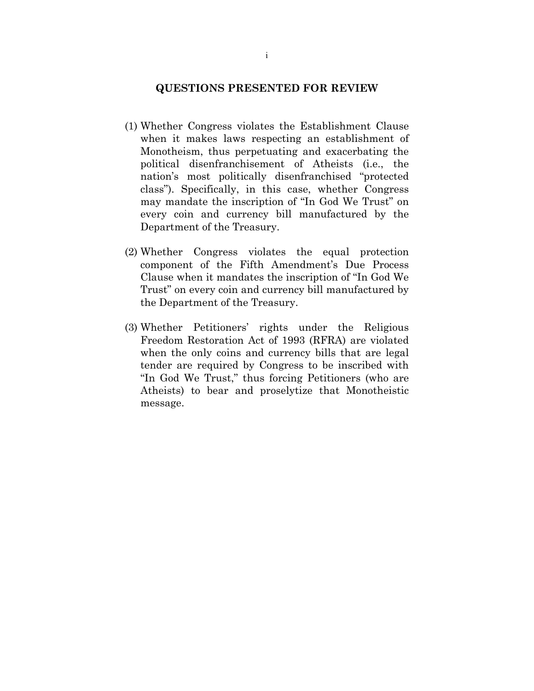### **QUESTIONS PRESENTED FOR REVIEW**

- (1) Whether Congress violates the Establishment Clause when it makes laws respecting an establishment of Monotheism, thus perpetuating and exacerbating the political disenfranchisement of Atheists (i.e., the nation's most politically disenfranchised "protected class"). Specifically, in this case, whether Congress may mandate the inscription of "In God We Trust" on every coin and currency bill manufactured by the Department of the Treasury.
- (2) Whether Congress violates the equal protection component of the Fifth Amendment's Due Process Clause when it mandates the inscription of "In God We Trust" on every coin and currency bill manufactured by the Department of the Treasury.
- (3) Whether Petitioners' rights under the Religious Freedom Restoration Act of 1993 (RFRA) are violated when the only coins and currency bills that are legal tender are required by Congress to be inscribed with "In God We Trust," thus forcing Petitioners (who are Atheists) to bear and proselytize that Monotheistic message.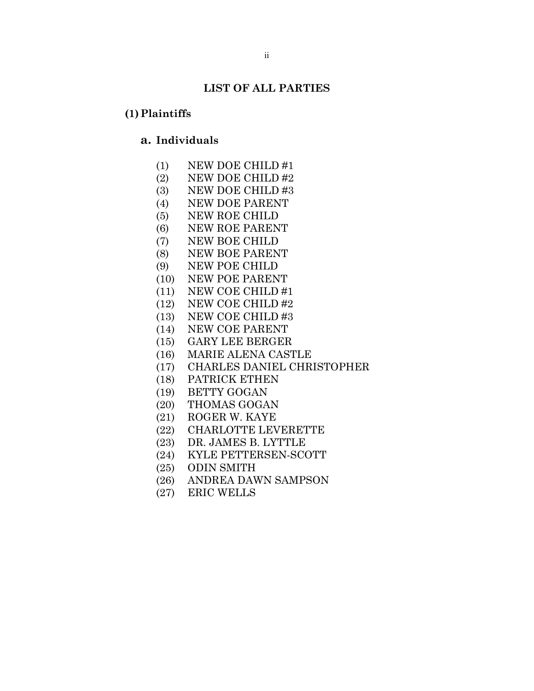### **LIST OF ALL PARTIES**

### **(1)Plaintiffs**

## **a. Individuals**

- (1) NEW DOE CHILD #1
- (2) NEW DOE CHILD #2
- (3) NEW DOE CHILD #3
- (4) NEW DOE PARENT
- (5) NEW ROE CHILD
- (6) NEW ROE PARENT
- (7) NEW BOE CHILD
- (8) NEW BOE PARENT
- (9) NEW POE CHILD
- (10) NEW POE PARENT
- (11) NEW COE CHILD #1
- (12) NEW COE CHILD #2
- (13) NEW COE CHILD #3
- (14) NEW COE PARENT
- (15) GARY LEE BERGER
- (16) MARIE ALENA CASTLE
- (17) CHARLES DANIEL CHRISTOPHER
- (18) PATRICK ETHEN
- (19) BETTY GOGAN
- (20) THOMAS GOGAN
- (21) ROGER W. KAYE
- (22) CHARLOTTE LEVERETTE
- (23) DR. JAMES B. LYTTLE
- (24) KYLE PETTERSEN-SCOTT
- (25) ODIN SMITH
- (26) ANDREA DAWN SAMPSON
- (27) ERIC WELLS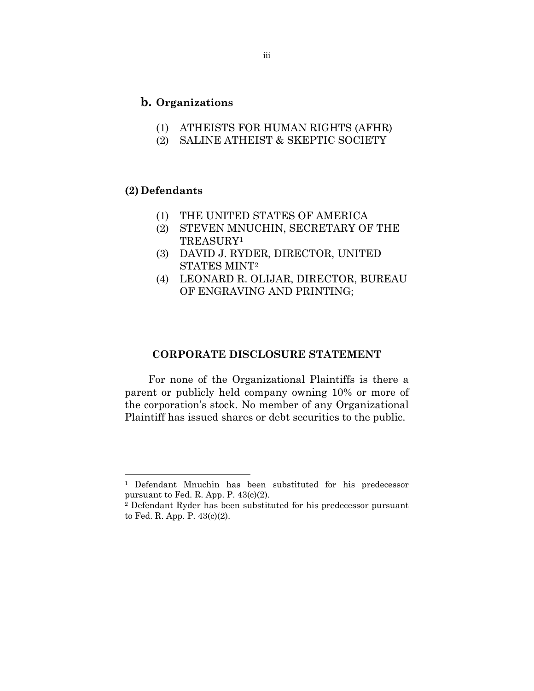### **b. Organizations**

- (1) ATHEISTS FOR HUMAN RIGHTS (AFHR)
- (2) SALINE ATHEIST & SKEPTIC SOCIETY

## **(2) Defendants**

 $\overline{a}$ 

- (1) THE UNITED STATES OF AMERICA
- (2) STEVEN MNUCHIN, SECRETARY OF THE TREASURY1
- (3) DAVID J. RYDER, DIRECTOR, UNITED STATES MINT2
- (4) LEONARD R. OLIJAR, DIRECTOR, BUREAU OF ENGRAVING AND PRINTING;

### **CORPORATE DISCLOSURE STATEMENT**

For none of the Organizational Plaintiffs is there a parent or publicly held company owning 10% or more of the corporation's stock. No member of any Organizational Plaintiff has issued shares or debt securities to the public.

<sup>&</sup>lt;sup>1</sup> Defendant Mnuchin has been substituted for his predecessor pursuant to Fed. R. App. P. 43(c)(2).

<sup>2</sup> Defendant Ryder has been substituted for his predecessor pursuant to Fed. R. App. P. 43(c)(2).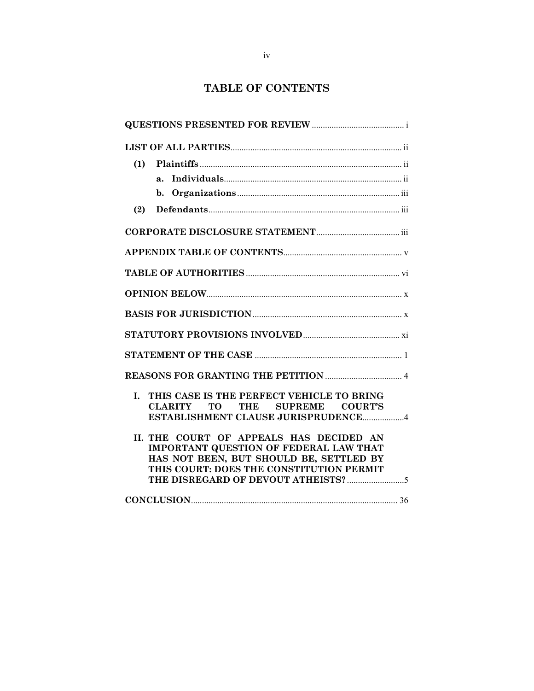# **TABLE OF CONTENTS**

| (1)                                                                                                                                                                             |
|---------------------------------------------------------------------------------------------------------------------------------------------------------------------------------|
| a <sub>1</sub>                                                                                                                                                                  |
|                                                                                                                                                                                 |
| (2)                                                                                                                                                                             |
|                                                                                                                                                                                 |
|                                                                                                                                                                                 |
|                                                                                                                                                                                 |
|                                                                                                                                                                                 |
|                                                                                                                                                                                 |
|                                                                                                                                                                                 |
|                                                                                                                                                                                 |
|                                                                                                                                                                                 |
| THIS CASE IS THE PERFECT VEHICLE TO BRING<br>T.<br>CLARITY TO THE SUPREME COURT'S<br>ESTABLISHMENT CLAUSE JURISPRUDENCE4                                                        |
| II. THE COURT OF APPEALS HAS DECIDED AN<br><b>IMPORTANT QUESTION OF FEDERAL LAW THAT</b><br>HAS NOT BEEN, BUT SHOULD BE, SETTLED BY<br>THIS COURT: DOES THE CONSTITUTION PERMIT |
|                                                                                                                                                                                 |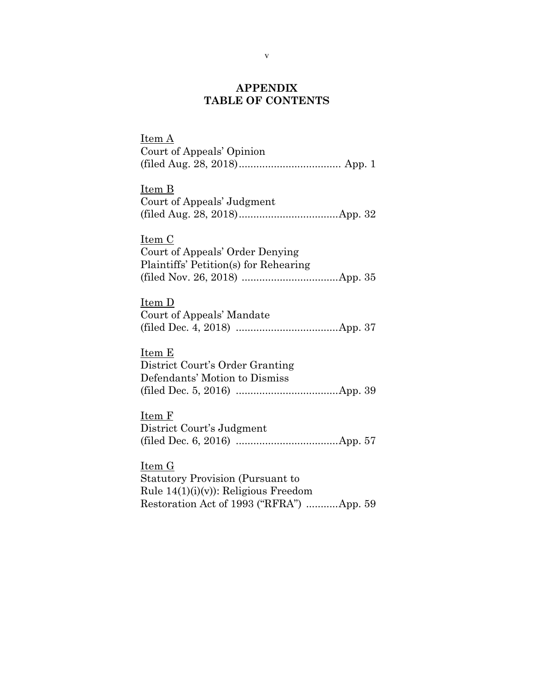## **APPENDIX TABLE OF CONTENTS**

Item A Court of Appeals' Opinion (filed Aug. 28, 2018) ................................... App. 1 Item B Court of Appeals' Judgment (filed Aug. 28, 2018) .................................. App. 32 Item C Court of Appeals' Order Denying Plaintiffs' Petition(s) for Rehearing (filed Nov. 26, 2018) ................................. App. 35 Item D Court of Appeals' Mandate (filed Dec. 4, 2018) ................................... App. 37 Item E District Court's Order Granting Defendants' Motion to Dismiss (filed Dec. 5, 2016) ................................... App. 39 Item F District Court's Judgment (filed Dec. 6, 2016) ................................... App. 57 Item G Statutory Provision (Pursuant to Rule  $14(1)(i)(v)$ : Religious Freedom

Restoration Act of 1993 ("RFRA") ........... App. 59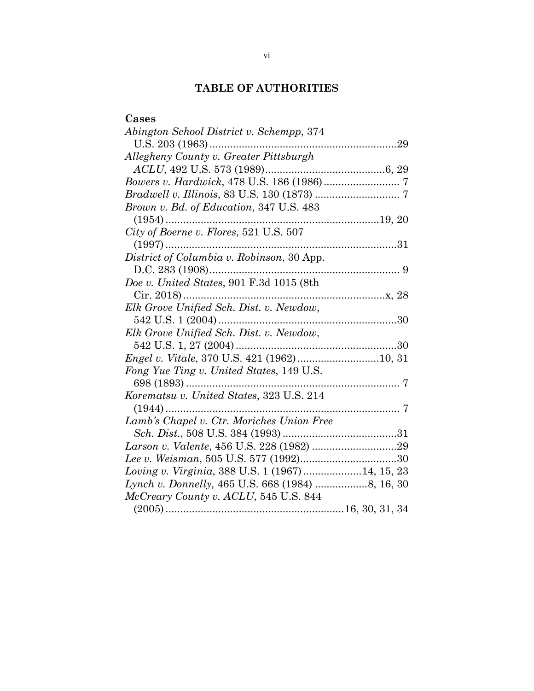# **TABLE OF AUTHORITIES**

| Cases                                             |  |
|---------------------------------------------------|--|
| Abington School District v. Schempp, 374          |  |
|                                                   |  |
| Allegheny County v. Greater Pittsburgh            |  |
|                                                   |  |
|                                                   |  |
|                                                   |  |
| <i>Brown v. Bd. of Education, 347 U.S. 483</i>    |  |
|                                                   |  |
| City of Boerne v. Flores, 521 U.S. 507            |  |
|                                                   |  |
| District of Columbia v. Robinson, 30 App.         |  |
|                                                   |  |
| Doe v. United States, 901 F.3d 1015 (8th          |  |
|                                                   |  |
| Elk Grove Unified Sch. Dist. v. Newdow,           |  |
|                                                   |  |
| Elk Grove Unified Sch. Dist. v. Newdow,           |  |
|                                                   |  |
|                                                   |  |
| Fong Yue Ting v. United States, 149 U.S.          |  |
|                                                   |  |
| Korematsu v. United States, 323 U.S. 214          |  |
|                                                   |  |
| Lamb's Chapel v. Ctr. Moriches Union Free         |  |
|                                                   |  |
|                                                   |  |
|                                                   |  |
| Loving v. Virginia, 388 U.S. 1 (1967)  14, 15, 23 |  |
|                                                   |  |
| McCreary County v. ACLU, 545 U.S. 844             |  |
|                                                   |  |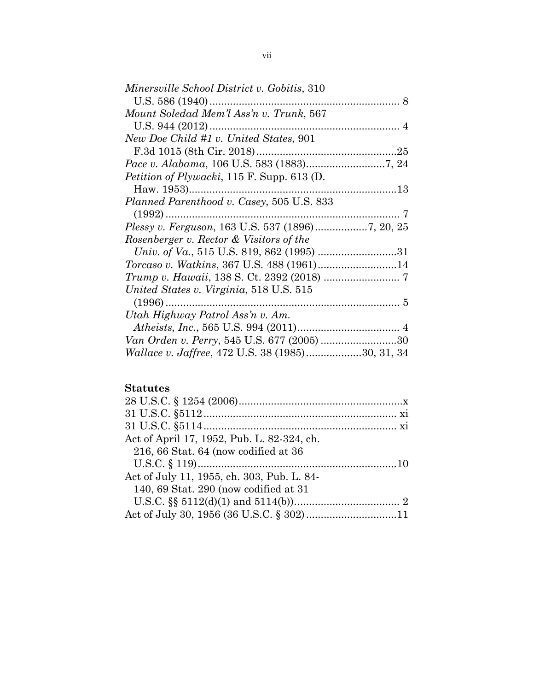| <i>Minersville School District v. Gobitis, 310</i>      |     |
|---------------------------------------------------------|-----|
|                                                         |     |
| Mount Soledad Mem'l Ass'n v. Trunk, 567                 |     |
| U.S. 944 $(2012)$                                       |     |
| New Doe Child #1 v. United States, 901                  |     |
|                                                         |     |
|                                                         |     |
| <i>Petition of Plywacki</i> , 115 F. Supp. 613 (D.      |     |
|                                                         |     |
| Planned Parenthood v. Casey, 505 U.S. 833               |     |
| $(1992)$                                                | . 7 |
| Plessy v. Ferguson, 163 U.S. 537 (1896)7, 20, 25        |     |
| Rosenberger v. Rector & Visitors of the                 |     |
|                                                         |     |
| Torcaso v. Watkins, 367 U.S. 488 (1961)14               |     |
|                                                         |     |
| United States v. Virginia, 518 U.S. 515                 |     |
|                                                         |     |
| Utah Highway Patrol Ass'n v. Am.                        |     |
|                                                         |     |
| Van Orden v. Perry, 545 U.S. 677 (2005) 30              |     |
| <i>Wallace v. Jaffree, 472 U.S. 38 (1985)30, 31, 34</i> |     |

# **Statutes**

| Act of April 17, 1952, Pub. L. 82-324, ch. |  |
|--------------------------------------------|--|
| 216, 66 Stat. 64 (now codified at 36       |  |
|                                            |  |
| Act of July 11, 1955, ch. 303, Pub. L. 84- |  |
| 140, 69 Stat. 290 (now codified at 31)     |  |
|                                            |  |
|                                            |  |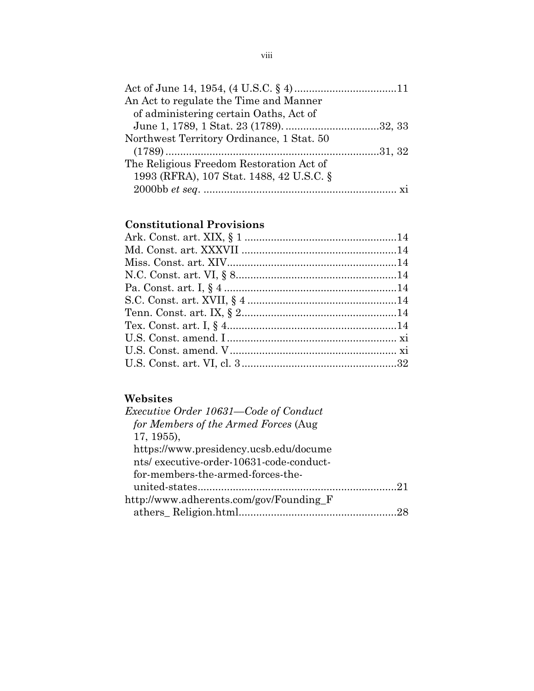| An Act to regulate the Time and Manner    |  |
|-------------------------------------------|--|
| of administering certain Oaths, Act of    |  |
|                                           |  |
| Northwest Territory Ordinance, 1 Stat. 50 |  |
|                                           |  |
| The Religious Freedom Restoration Act of  |  |
| 1993 (RFRA), 107 Stat. 1488, 42 U.S.C. §  |  |
|                                           |  |

# **Constitutional Provisions**

# **Websites**

| <i>Executive Order 10631—Code of Conduct</i> |  |
|----------------------------------------------|--|
| for Members of the Armed Forces (Aug         |  |
| $17, 1955$ ,                                 |  |
| https://www.presidency.ucsb.edu/docume       |  |
| nts/executive-order-10631-code-conduct-      |  |
| for-members-the-armed-forces-the-            |  |
|                                              |  |
| http://www.adherents.com/gov/Founding_F      |  |
|                                              |  |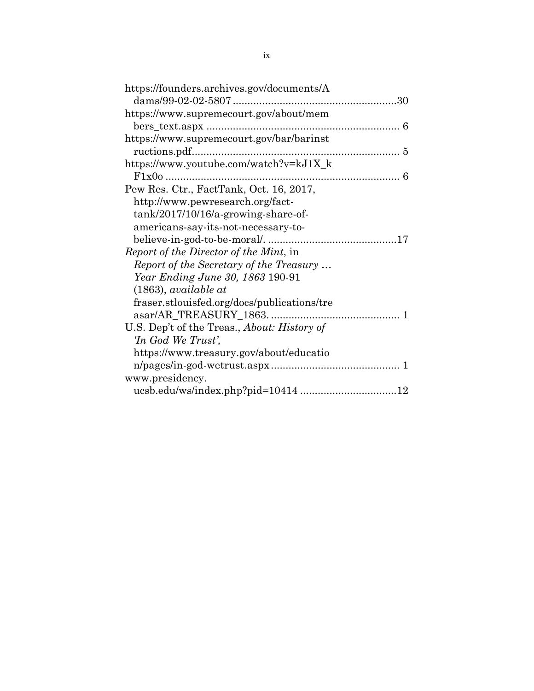| https://founders.archives.gov/documents/A   |
|---------------------------------------------|
|                                             |
| https://www.supremecourt.gov/about/mem      |
|                                             |
| https://www.supremecourt.gov/bar/barinst    |
|                                             |
| https://www.youtube.com/watch?v=kJ1X_k      |
|                                             |
| Pew Res. Ctr., FactTank, Oct. 16, 2017,     |
| http://www.pewresearch.org/fact-            |
| tank/2017/10/16/a-growing-share-of-         |
| americans-say-its-not-necessary-to-         |
|                                             |
| Report of the Director of the Mint, in      |
| Report of the Secretary of the Treasury     |
| Year Ending June 30, 1863 190-91            |
| $(1863)$ , available at                     |
| fraser.stlouisfed.org/docs/publications/tre |
|                                             |
| U.S. Dep't of the Treas., About: History of |
| In God We Trust',                           |
| https://www.treasury.gov/about/educatio     |
|                                             |
| www.presidency.                             |
|                                             |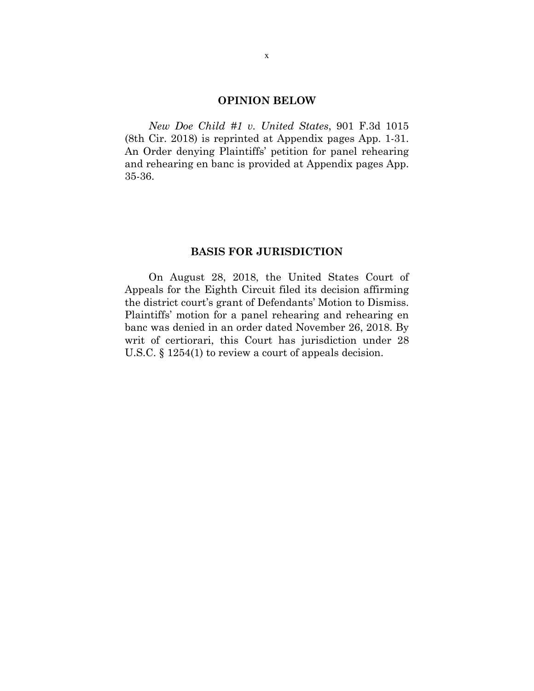### **OPINION BELOW**

*New Doe Child #1 v. United States*, 901 F.3d 1015 (8th Cir. 2018) is reprinted at Appendix pages App. 1-31. An Order denying Plaintiffs' petition for panel rehearing and rehearing en banc is provided at Appendix pages App. 35-36.

### **BASIS FOR JURISDICTION**

On August 28, 2018, the United States Court of Appeals for the Eighth Circuit filed its decision affirming the district court's grant of Defendants' Motion to Dismiss. Plaintiffs' motion for a panel rehearing and rehearing en banc was denied in an order dated November 26, 2018. By writ of certiorari, this Court has jurisdiction under 28 U.S.C. § 1254(1) to review a court of appeals decision.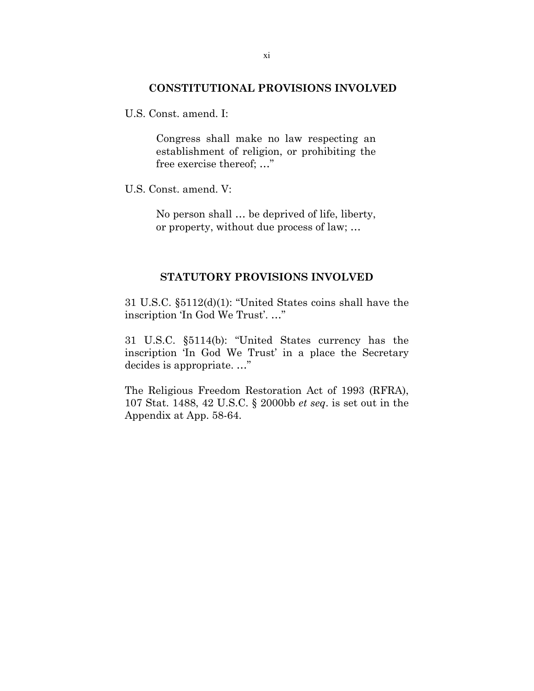#### **CONSTITUTIONAL PROVISIONS INVOLVED**

U.S. Const. amend. I:

Congress shall make no law respecting an establishment of religion, or prohibiting the free exercise thereof; …"

U.S. Const. amend. V:

No person shall … be deprived of life, liberty, or property, without due process of law; …

#### **STATUTORY PROVISIONS INVOLVED**

31 U.S.C. §5112(d)(1): "United States coins shall have the inscription 'In God We Trust'. …"

31 U.S.C. §5114(b): "United States currency has the inscription 'In God We Trust' in a place the Secretary decides is appropriate. …"

The Religious Freedom Restoration Act of 1993 (RFRA), 107 Stat. 1488, 42 U.S.C. § 2000bb *et seq*. is set out in the Appendix at App. 58-64.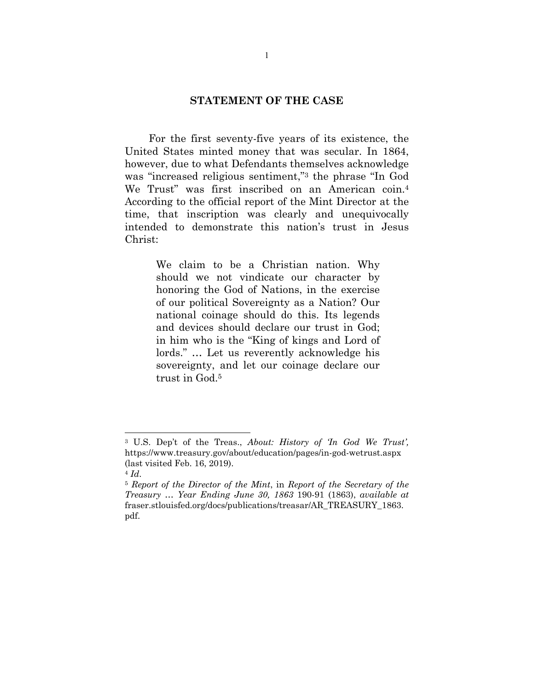### **STATEMENT OF THE CASE**

For the first seventy-five years of its existence, the United States minted money that was secular. In 1864, however, due to what Defendants themselves acknowledge was "increased religious sentiment,"3 the phrase "In God We Trust" was first inscribed on an American coin.4 According to the official report of the Mint Director at the time, that inscription was clearly and unequivocally intended to demonstrate this nation's trust in Jesus Christ:

> We claim to be a Christian nation. Why should we not vindicate our character by honoring the God of Nations, in the exercise of our political Sovereignty as a Nation? Our national coinage should do this. Its legends and devices should declare our trust in God; in him who is the "King of kings and Lord of lords." … Let us reverently acknowledge his sovereignty, and let our coinage declare our trust in God.5

<sup>3</sup> U.S. Dep't of the Treas., *About: History of 'In God We Trust',*  https://www.treasury.gov/about/education/pages/in-god-wetrust.aspx (last visited Feb. 16, 2019).

<sup>4</sup> *Id*. 5 *Report of the Director of the Mint*, in *Report of the Secretary of the Treasury* … *Year Ending June 30, 1863* 190-91 (1863), *available at*  fraser.stlouisfed.org/docs/publications/treasar/AR\_TREASURY\_1863. pdf.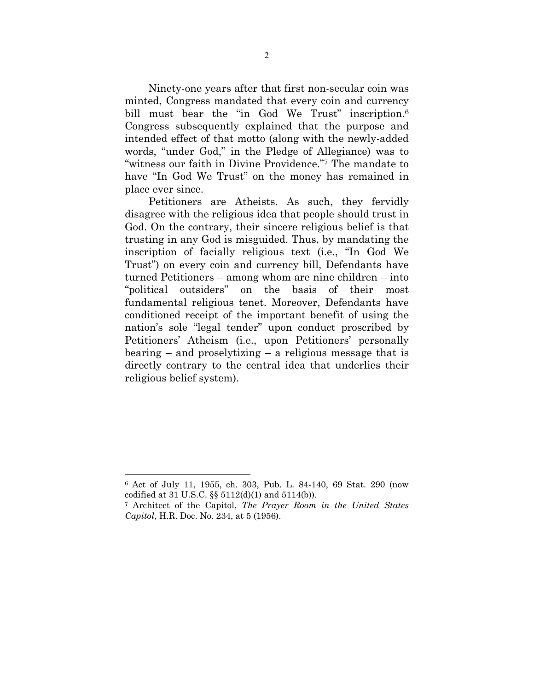Ninety-one years after that first non-secular coin was minted, Congress mandated that every coin and currency bill must bear the "in God We Trust" inscription.<sup>6</sup> Congress subsequently explained that the purpose and intended effect of that motto (along with the newly-added words, "under God," in the Pledge of Allegiance) was to "witness our faith in Divine Providence."7 The mandate to have "In God We Trust" on the money has remained in place ever since.

Petitioners are Atheists. As such, they fervidly disagree with the religious idea that people should trust in God. On the contrary, their sincere religious belief is that trusting in any God is misguided. Thus, by mandating the inscription of facially religious text (i.e., "In God We Trust") on every coin and currency bill, Defendants have turned Petitioners – among whom are nine children – into "political outsiders" on the basis of their most fundamental religious tenet. Moreover, Defendants have conditioned receipt of the important benefit of using the nation's sole "legal tender" upon conduct proscribed by Petitioners' Atheism (i.e., upon Petitioners' personally bearing – and proselytizing – a religious message that is directly contrary to the central idea that underlies their religious belief system).

 $\overline{a}$ 

<sup>6</sup> Act of July 11, 1955, ch. 303, Pub. L. 84-140, 69 Stat. 290 (now codified at 31 U.S.C. §§ 5112(d)(1) and 5114(b)).

<sup>7</sup> Architect of the Capitol, *The Prayer Room in the United States Capitol*, H.R. Doc. No. 234, at 5 (1956).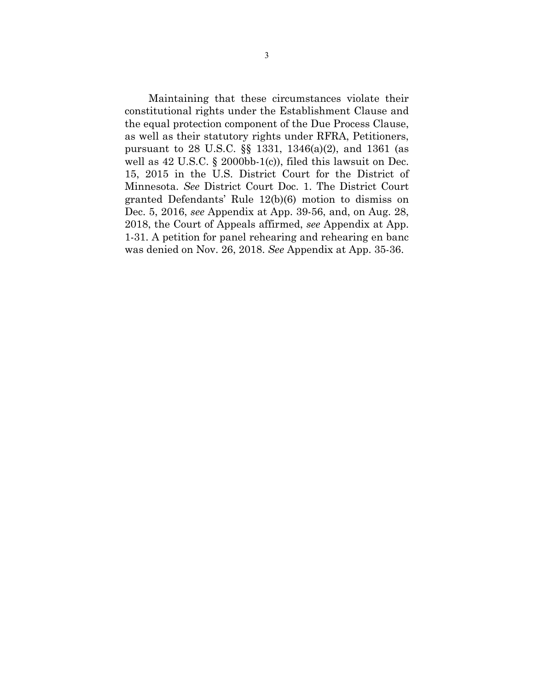Maintaining that these circumstances violate their constitutional rights under the Establishment Clause and the equal protection component of the Due Process Clause, as well as their statutory rights under RFRA, Petitioners, pursuant to 28 U.S.C. §§ 1331, 1346(a)(2), and 1361 (as well as 42 U.S.C. § 2000bb-1(c)), filed this lawsuit on Dec. 15, 2015 in the U.S. District Court for the District of Minnesota. *See* District Court Doc. 1. The District Court granted Defendants' Rule 12(b)(6) motion to dismiss on Dec. 5, 2016, *see* Appendix at App. 39-56, and, on Aug. 28, 2018, the Court of Appeals affirmed, *see* Appendix at App. 1-31. A petition for panel rehearing and rehearing en banc was denied on Nov. 26, 2018. *See* Appendix at App. 35-36.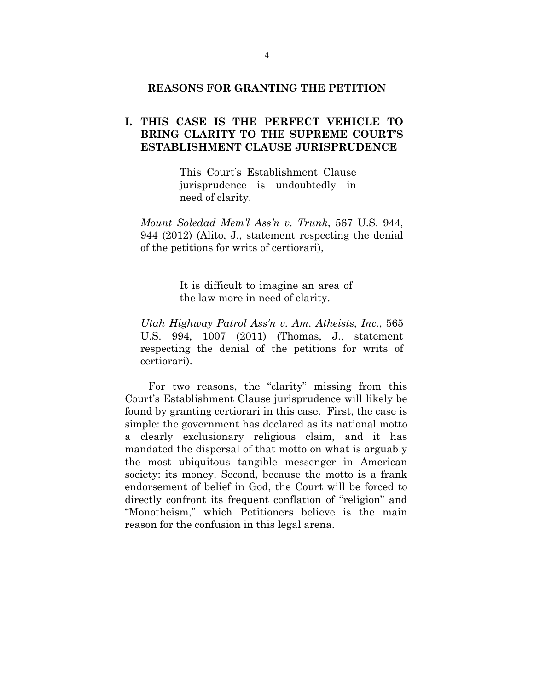#### **REASONS FOR GRANTING THE PETITION**

## **I. THIS CASE IS THE PERFECT VEHICLE TO BRING CLARITY TO THE SUPREME COURT'S ESTABLISHMENT CLAUSE JURISPRUDENCE**

This Court's Establishment Clause jurisprudence is undoubtedly in need of clarity.

*Mount Soledad Mem'l Ass'n v. Trunk*, 567 U.S. 944, 944 (2012) (Alito, J., statement respecting the denial of the petitions for writs of certiorari),

> It is difficult to imagine an area of the law more in need of clarity.

*Utah Highway Patrol Ass'n v. Am. Atheists, Inc.*, 565 U.S. 994, 1007 (2011) (Thomas, J., statement respecting the denial of the petitions for writs of certiorari).

For two reasons, the "clarity" missing from this Court's Establishment Clause jurisprudence will likely be found by granting certiorari in this case. First, the case is simple: the government has declared as its national motto a clearly exclusionary religious claim, and it has mandated the dispersal of that motto on what is arguably the most ubiquitous tangible messenger in American society: its money. Second, because the motto is a frank endorsement of belief in God, the Court will be forced to directly confront its frequent conflation of "religion" and "Monotheism," which Petitioners believe is the main reason for the confusion in this legal arena.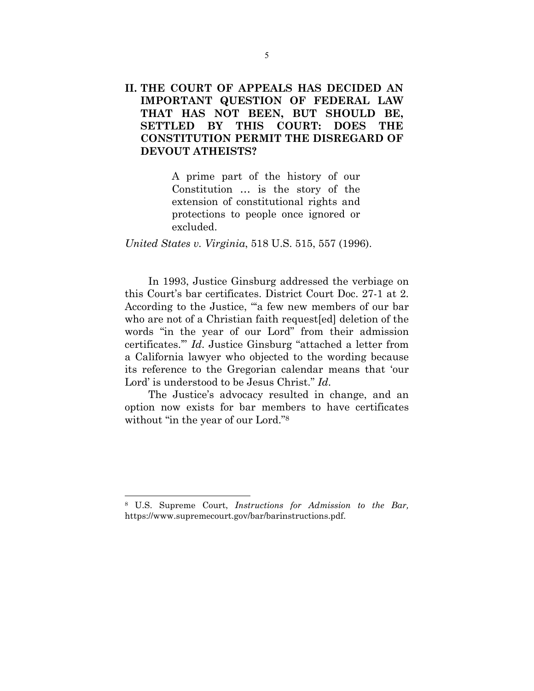# **II. THE COURT OF APPEALS HAS DECIDED AN IMPORTANT QUESTION OF FEDERAL LAW THAT HAS NOT BEEN, BUT SHOULD BE, SETTLED BY THIS COURT: DOES THE CONSTITUTION PERMIT THE DISREGARD OF DEVOUT ATHEISTS?**

A prime part of the history of our Constitution … is the story of the extension of constitutional rights and protections to people once ignored or excluded.

*United States v. Virginia*, 518 U.S. 515, 557 (1996).

In 1993, Justice Ginsburg addressed the verbiage on this Court's bar certificates. District Court Doc. 27-1 at 2. According to the Justice, "a few new members of our bar who are not of a Christian faith request[ed] deletion of the words "in the year of our Lord" from their admission certificates.'" *Id*. Justice Ginsburg "attached a letter from a California lawyer who objected to the wording because its reference to the Gregorian calendar means that 'our Lord' is understood to be Jesus Christ." *Id*.

The Justice's advocacy resulted in change, and an option now exists for bar members to have certificates without "in the year of our Lord."<sup>8</sup>

<sup>8</sup> U.S. Supreme Court, *Instructions for Admission to the Bar,*  https://www.supremecourt.gov/bar/barinstructions.pdf.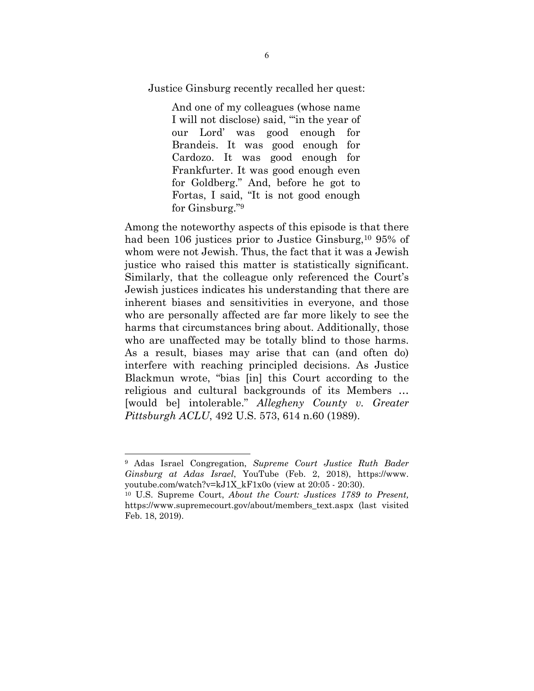Justice Ginsburg recently recalled her quest:

And one of my colleagues (whose name I will not disclose) said, "'in the year of our Lord' was good enough for Brandeis. It was good enough for Cardozo. It was good enough for Frankfurter. It was good enough even for Goldberg." And, before he got to Fortas, I said, "It is not good enough for Ginsburg."9

Among the noteworthy aspects of this episode is that there had been 106 justices prior to Justice Ginsburg,<sup>10</sup> 95% of whom were not Jewish. Thus, the fact that it was a Jewish justice who raised this matter is statistically significant. Similarly, that the colleague only referenced the Court's Jewish justices indicates his understanding that there are inherent biases and sensitivities in everyone, and those who are personally affected are far more likely to see the harms that circumstances bring about. Additionally, those who are unaffected may be totally blind to those harms. As a result, biases may arise that can (and often do) interfere with reaching principled decisions. As Justice Blackmun wrote, "bias [in] this Court according to the religious and cultural backgrounds of its Members … [would be] intolerable." *Allegheny County v. Greater Pittsburgh ACLU*, 492 U.S. 573, 614 n.60 (1989).

<sup>9</sup> Adas Israel Congregation, *Supreme Court Justice Ruth Bader Ginsburg at Adas Israel*, YouTube (Feb. 2, 2018), https://www. youtube.com/watch?v=kJ1X\_kF1x0o (view at 20:05 - 20:30).

<sup>10</sup> U.S. Supreme Court, *About the Court: Justices 1789 to Present,*  https://www.supremecourt.gov/about/members\_text.aspx (last visited Feb. 18, 2019).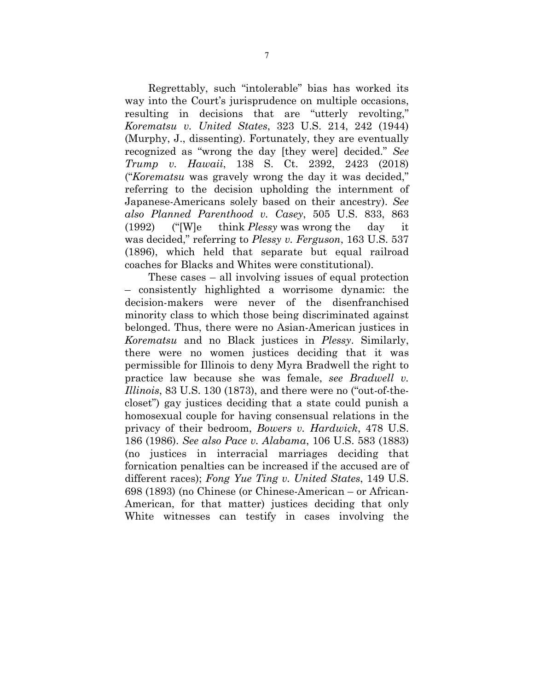Regrettably, such "intolerable" bias has worked its way into the Court's jurisprudence on multiple occasions, resulting in decisions that are "utterly revolting," *Korematsu v. United States*, 323 U.S. 214, 242 (1944) (Murphy, J., dissenting). Fortunately, they are eventually recognized as "wrong the day [they were] decided." *See Trump v. Hawaii*, 138 S. Ct. 2392, 2423 (2018) ("*Korematsu* was gravely wrong the day it was decided," referring to the decision upholding the internment of Japanese-Americans solely based on their ancestry). *See also Planned Parenthood v. Casey*, 505 U.S. 833, 863 (1992) ("[W]e think *Plessy* was wrong the day it was decided," referring to *Plessy v. Ferguson*, 163 U.S. 537 (1896), which held that separate but equal railroad coaches for Blacks and Whites were constitutional).

These cases – all involving issues of equal protection – consistently highlighted a worrisome dynamic: the decision-makers were never of the disenfranchised minority class to which those being discriminated against belonged. Thus, there were no Asian-American justices in *Korematsu* and no Black justices in *Plessy*. Similarly, there were no women justices deciding that it was permissible for Illinois to deny Myra Bradwell the right to practice law because she was female, *see Bradwell v. Illinois*, 83 U.S. 130 (1873), and there were no ("out-of-thecloset") gay justices deciding that a state could punish a homosexual couple for having consensual relations in the privacy of their bedroom, *Bowers v. Hardwick*, 478 U.S. 186 (1986). *See also Pace v. Alabama*, 106 U.S. 583 (1883) (no justices in interracial marriages deciding that fornication penalties can be increased if the accused are of different races); *Fong Yue Ting v. United States*, 149 U.S. 698 (1893) (no Chinese (or Chinese-American – or African-American, for that matter) justices deciding that only White witnesses can testify in cases involving the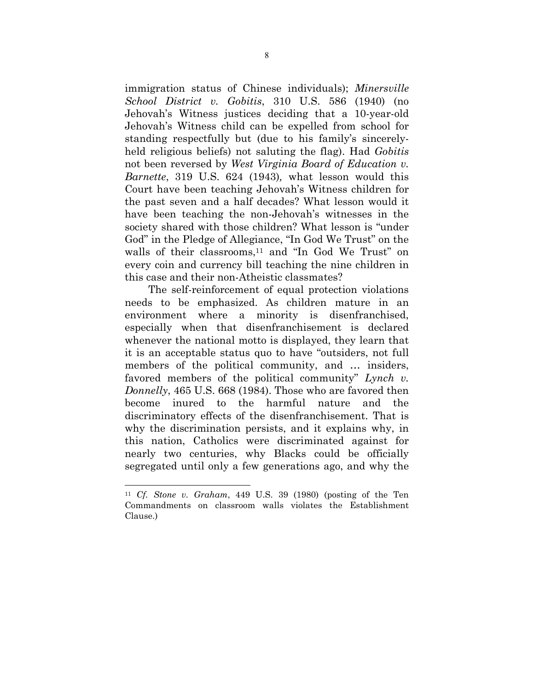immigration status of Chinese individuals); *Minersville School District v. Gobitis*, 310 U.S. 586 (1940) (no Jehovah's Witness justices deciding that a 10-year-old Jehovah's Witness child can be expelled from school for standing respectfully but (due to his family's sincerelyheld religious beliefs) not saluting the flag). Had *Gobitis* not been reversed by *West Virginia Board of Education v. Barnette*, 319 U.S. 624 (1943)*,* what lesson would this Court have been teaching Jehovah's Witness children for the past seven and a half decades? What lesson would it have been teaching the non-Jehovah's witnesses in the society shared with those children? What lesson is "under God" in the Pledge of Allegiance, "In God We Trust" on the walls of their classrooms,<sup>11</sup> and "In God We Trust" on every coin and currency bill teaching the nine children in this case and their non-Atheistic classmates?

The self-reinforcement of equal protection violations needs to be emphasized. As children mature in an environment where a minority is disenfranchised, especially when that disenfranchisement is declared whenever the national motto is displayed, they learn that it is an acceptable status quo to have "outsiders, not full members of the political community, and … insiders, favored members of the political community" *Lynch v. Donnelly*, 465 U.S. 668 (1984). Those who are favored then become inured to the harmful nature and the discriminatory effects of the disenfranchisement. That is why the discrimination persists, and it explains why, in this nation, Catholics were discriminated against for nearly two centuries, why Blacks could be officially segregated until only a few generations ago, and why the

 $\overline{a}$ 

<sup>11</sup> *Cf. Stone v. Graham*, 449 U.S. 39 (1980) (posting of the Ten Commandments on classroom walls violates the Establishment Clause.)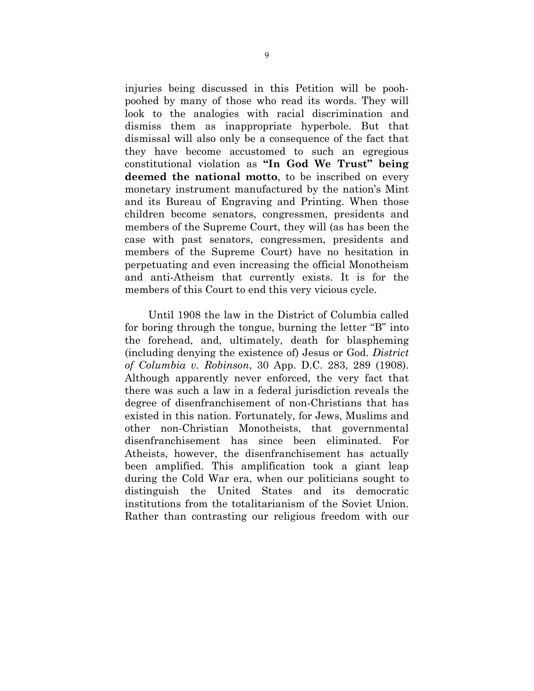injuries being discussed in this Petition will be poohpoohed by many of those who read its words. They will look to the analogies with racial discrimination and dismiss them as inappropriate hyperbole. But that dismissal will also only be a consequence of the fact that they have become accustomed to such an egregious constitutional violation as **"In God We Trust" being deemed the national motto**, to be inscribed on every monetary instrument manufactured by the nation's Mint and its Bureau of Engraving and Printing. When those children become senators, congressmen, presidents and members of the Supreme Court, they will (as has been the case with past senators, congressmen, presidents and members of the Supreme Court) have no hesitation in perpetuating and even increasing the official Monotheism and anti-Atheism that currently exists. It is for the members of this Court to end this very vicious cycle.

Until 1908 the law in the District of Columbia called for boring through the tongue, burning the letter "B" into the forehead, and, ultimately, death for blaspheming (including denying the existence of) Jesus or God. *District of Columbia v. Robinson*, 30 App. D.C. 283, 289 (1908). Although apparently never enforced, the very fact that there was such a law in a federal jurisdiction reveals the degree of disenfranchisement of non-Christians that has existed in this nation. Fortunately, for Jews, Muslims and other non-Christian Monotheists, that governmental disenfranchisement has since been eliminated. For Atheists, however, the disenfranchisement has actually been amplified. This amplification took a giant leap during the Cold War era, when our politicians sought to distinguish the United States and its democratic institutions from the totalitarianism of the Soviet Union. Rather than contrasting our religious freedom with our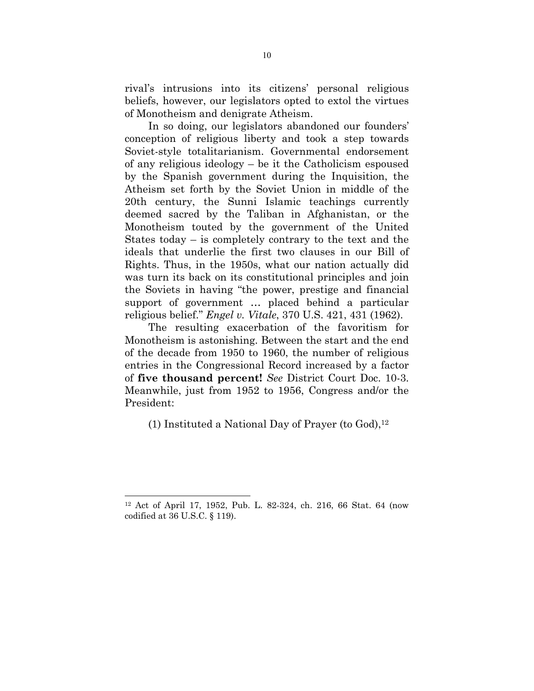rival's intrusions into its citizens' personal religious beliefs, however, our legislators opted to extol the virtues of Monotheism and denigrate Atheism.

In so doing, our legislators abandoned our founders' conception of religious liberty and took a step towards Soviet-style totalitarianism. Governmental endorsement of any religious ideology – be it the Catholicism espoused by the Spanish government during the Inquisition, the Atheism set forth by the Soviet Union in middle of the 20th century, the Sunni Islamic teachings currently deemed sacred by the Taliban in Afghanistan, or the Monotheism touted by the government of the United States today – is completely contrary to the text and the ideals that underlie the first two clauses in our Bill of Rights. Thus, in the 1950s, what our nation actually did was turn its back on its constitutional principles and join the Soviets in having "the power, prestige and financial support of government … placed behind a particular religious belief." *Engel v. Vitale*, 370 U.S. 421, 431 (1962).

The resulting exacerbation of the favoritism for Monotheism is astonishing. Between the start and the end of the decade from 1950 to 1960, the number of religious entries in the Congressional Record increased by a factor of **five thousand percent!** *See* District Court Doc. 10-3. Meanwhile, just from 1952 to 1956, Congress and/or the President:

(1) Instituted a National Day of Prayer (to  $God$ ),<sup>12</sup>

<sup>12</sup> Act of April 17, 1952, Pub. L. 82-324, ch. 216, 66 Stat. 64 (now codified at 36 U.S.C. § 119).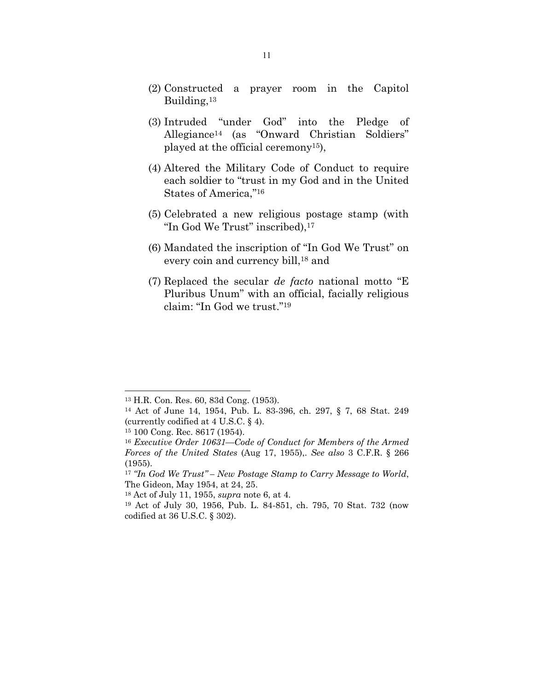- (2) Constructed a prayer room in the Capitol Building,13
- (3) Intruded "under God" into the Pledge of Allegiance14 (as "Onward Christian Soldiers" played at the official ceremony15),
- (4) Altered the Military Code of Conduct to require each soldier to "trust in my God and in the United States of America,"16
- (5) Celebrated a new religious postage stamp (with "In God We Trust" inscribed),17
- (6) Mandated the inscription of "In God We Trust" on every coin and currency bill,<sup>18</sup> and
- (7) Replaced the secular *de facto* national motto "E Pluribus Unum" with an official, facially religious claim: "In God we trust."19

<sup>13</sup> H.R. Con. Res. 60, 83d Cong. (1953).

<sup>14</sup> Act of June 14, 1954, Pub. L. 83-396, ch. 297, § 7, 68 Stat. 249 (currently codified at 4 U.S.C. § 4).

<sup>15 100</sup> Cong. Rec. 8617 (1954).

<sup>16</sup> *Executive Order 10631—Code of Conduct for Members of the Armed Forces of the United States* (Aug 17, 1955),. *See also* 3 C.F.R. § 266 (1955).

<sup>17</sup> *"In God We Trust" – New Postage Stamp to Carry Message to World*, The Gideon, May 1954, at 24, 25.

<sup>18</sup> Act of July 11, 1955, *supra* note 6, at 4.

<sup>19</sup> Act of July 30, 1956, Pub. L. 84-851, ch. 795, 70 Stat. 732 (now codified at 36 U.S.C. § 302).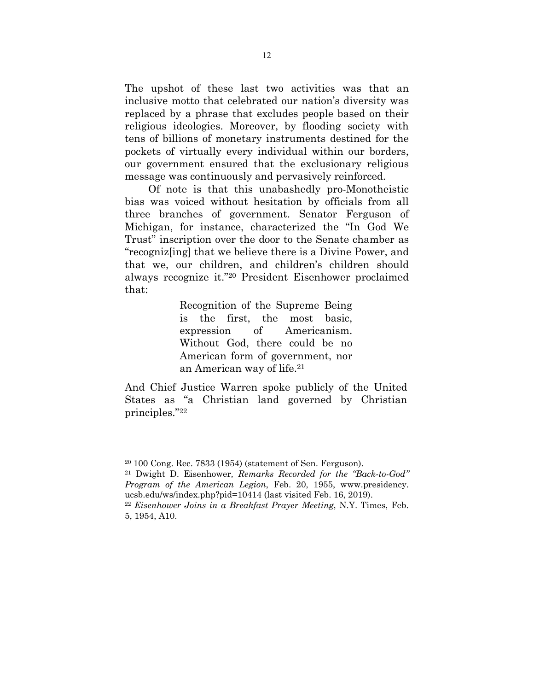The upshot of these last two activities was that an inclusive motto that celebrated our nation's diversity was replaced by a phrase that excludes people based on their religious ideologies. Moreover, by flooding society with tens of billions of monetary instruments destined for the pockets of virtually every individual within our borders, our government ensured that the exclusionary religious message was continuously and pervasively reinforced.

Of note is that this unabashedly pro-Monotheistic bias was voiced without hesitation by officials from all three branches of government. Senator Ferguson of Michigan, for instance, characterized the "In God We Trust" inscription over the door to the Senate chamber as "recogniz[ing] that we believe there is a Divine Power, and that we, our children, and children's children should always recognize it."20 President Eisenhower proclaimed that:

> Recognition of the Supreme Being is the first, the most basic, expression of Americanism. Without God, there could be no American form of government, nor an American way of life.21

And Chief Justice Warren spoke publicly of the United States as "a Christian land governed by Christian principles."22

<sup>20 100</sup> Cong. Rec. 7833 (1954) (statement of Sen. Ferguson).

<sup>21</sup> Dwight D. Eisenhower*, Remarks Recorded for the "Back-to-God" Program of the American Legion*, Feb. 20, 1955, www.presidency. ucsb.edu/ws/index.php?pid=10414 (last visited Feb. 16, 2019).

<sup>22</sup> *Eisenhower Joins in a Breakfast Prayer Meeting*, N.Y. Times, Feb. 5, 1954, A10.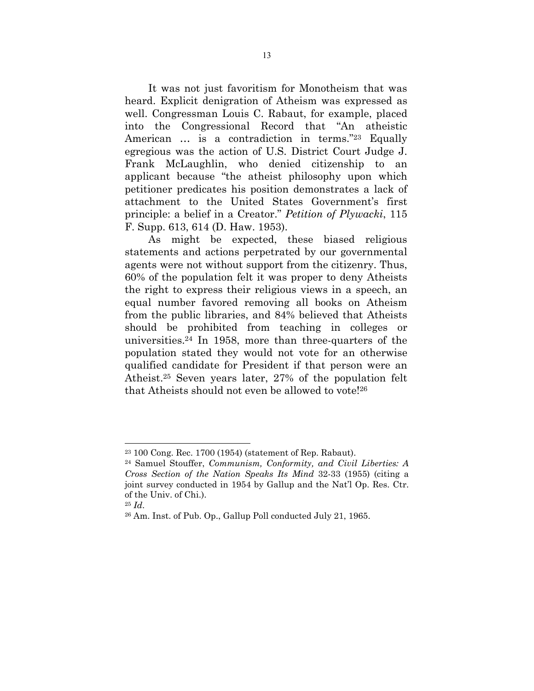It was not just favoritism for Monotheism that was heard. Explicit denigration of Atheism was expressed as well. Congressman Louis C. Rabaut, for example, placed into the Congressional Record that "An atheistic American … is a contradiction in terms."23 Equally egregious was the action of U.S. District Court Judge J. Frank McLaughlin, who denied citizenship to an applicant because "the atheist philosophy upon which petitioner predicates his position demonstrates a lack of attachment to the United States Government's first principle: a belief in a Creator." *Petition of Plywacki*, 115 F. Supp. 613, 614 (D. Haw. 1953).

As might be expected, these biased religious statements and actions perpetrated by our governmental agents were not without support from the citizenry. Thus, 60% of the population felt it was proper to deny Atheists the right to express their religious views in a speech, an equal number favored removing all books on Atheism from the public libraries, and 84% believed that Atheists should be prohibited from teaching in colleges or universities.24 In 1958, more than three-quarters of the population stated they would not vote for an otherwise qualified candidate for President if that person were an Atheist.25 Seven years later, 27% of the population felt that Atheists should not even be allowed to vote!26

<sup>23 100</sup> Cong. Rec. 1700 (1954) (statement of Rep. Rabaut).

<sup>24</sup> Samuel Stouffer, *Communism, Conformity, and Civil Liberties: A Cross Section of the Nation Speaks Its Mind* 32-33 (1955) (citing a joint survey conducted in 1954 by Gallup and the Nat'l Op. Res. Ctr. of the Univ. of Chi.).

<sup>25</sup> *Id*. 26 Am. Inst. of Pub. Op., Gallup Poll conducted July 21, 1965.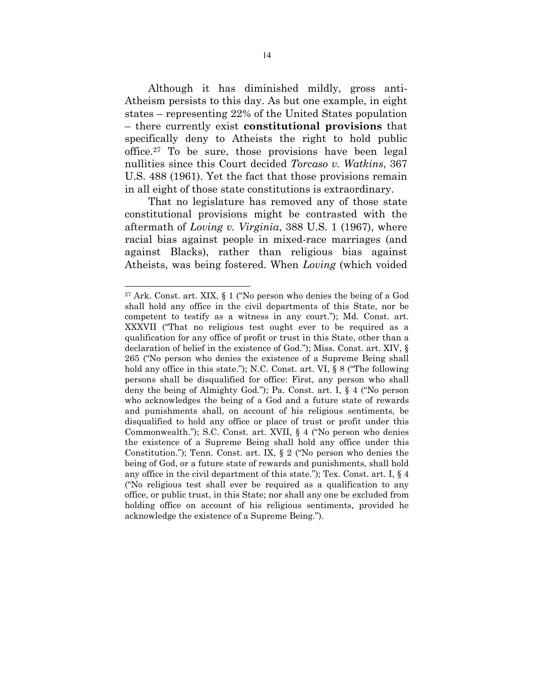Although it has diminished mildly, gross anti-Atheism persists to this day. As but one example, in eight states – representing 22% of the United States population – there currently exist **constitutional provisions** that specifically deny to Atheists the right to hold public office.27 To be sure, those provisions have been legal nullities since this Court decided *Torcaso v. Watkins*, 367 U.S. 488 (1961). Yet the fact that those provisions remain in all eight of those state constitutions is extraordinary.

That no legislature has removed any of those state constitutional provisions might be contrasted with the aftermath of *Loving v. Virginia*, 388 U.S. 1 (1967), where racial bias against people in mixed-race marriages (and against Blacks), rather than religious bias against Atheists, was being fostered. When *Loving* (which voided

<sup>27</sup> Ark. Const. art. XIX, § 1 ("No person who denies the being of a God shall hold any office in the civil departments of this State, nor be competent to testify as a witness in any court."); Md. Const. art. XXXVII ("That no religious test ought ever to be required as a qualification for any office of profit or trust in this State, other than a declaration of belief in the existence of God."); Miss. Const. art. XIV, § 265 ("No person who denies the existence of a Supreme Being shall hold any office in this state."); N.C. Const. art. VI, § 8 ("The following persons shall be disqualified for office: First, any person who shall deny the being of Almighty God."); Pa. Const. art. I, § 4 ("No person who acknowledges the being of a God and a future state of rewards and punishments shall, on account of his religious sentiments, be disqualified to hold any office or place of trust or profit under this Commonwealth."); S.C. Const. art. XVII, § 4 ("No person who denies the existence of a Supreme Being shall hold any office under this Constitution."); Tenn. Const. art. IX, § 2 ("No person who denies the being of God, or a future state of rewards and punishments, shall hold any office in the civil department of this state."); Tex. Const. art. I, § 4 ("No religious test shall ever be required as a qualification to any office, or public trust, in this State; nor shall any one be excluded from holding office on account of his religious sentiments, provided he acknowledge the existence of a Supreme Being.").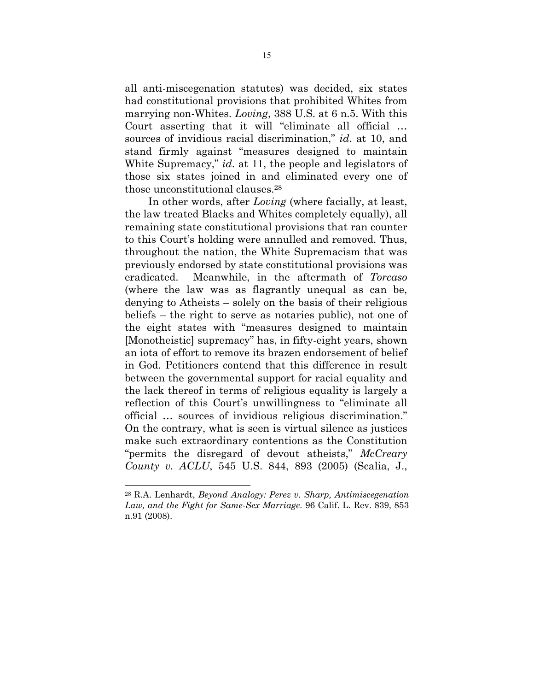all anti-miscegenation statutes) was decided, six states had constitutional provisions that prohibited Whites from marrying non-Whites. *Loving*, 388 U.S. at 6 n.5. With this Court asserting that it will "eliminate all official … sources of invidious racial discrimination," *id*. at 10, and stand firmly against "measures designed to maintain White Supremacy," *id*. at 11, the people and legislators of those six states joined in and eliminated every one of those unconstitutional clauses.28

In other words, after *Loving* (where facially, at least, the law treated Blacks and Whites completely equally), all remaining state constitutional provisions that ran counter to this Court's holding were annulled and removed. Thus, throughout the nation, the White Supremacism that was previously endorsed by state constitutional provisions was eradicated. Meanwhile, in the aftermath of *Torcaso* (where the law was as flagrantly unequal as can be, denying to Atheists – solely on the basis of their religious beliefs – the right to serve as notaries public), not one of the eight states with "measures designed to maintain [Monotheistic] supremacy" has, in fifty-eight years, shown an iota of effort to remove its brazen endorsement of belief in God. Petitioners contend that this difference in result between the governmental support for racial equality and the lack thereof in terms of religious equality is largely a reflection of this Court's unwillingness to "eliminate all official … sources of invidious religious discrimination." On the contrary, what is seen is virtual silence as justices make such extraordinary contentions as the Constitution "permits the disregard of devout atheists," *McCreary County v. ACLU*, 545 U.S. 844, 893 (2005) (Scalia, J.,

 $\overline{a}$ 

<sup>28</sup> R.A. Lenhardt, *Beyond Analogy: Perez v. Sharp, Antimiscegenation Law, and the Fight for Same-Sex Marriage*. 96 Calif. L. Rev. 839, 853 n.91 (2008).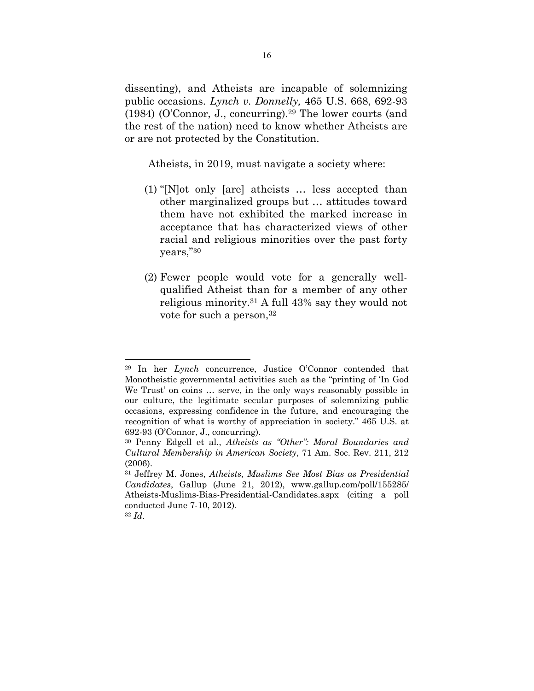dissenting), and Atheists are incapable of solemnizing public occasions. *Lynch v. Donnelly,* 465 U.S. 668, 692-93 (1984) (O'Connor, J., concurring).29 The lower courts (and the rest of the nation) need to know whether Atheists are or are not protected by the Constitution.

Atheists, in 2019, must navigate a society where:

- (1) "[N]ot only [are] atheists … less accepted than other marginalized groups but … attitudes toward them have not exhibited the marked increase in acceptance that has characterized views of other racial and religious minorities over the past forty years,"30
- (2) Fewer people would vote for a generally wellqualified Atheist than for a member of any other religious minority.31 A full 43% say they would not vote for such a person, 32

<sup>29</sup> In her *Lynch* concurrence, Justice O'Connor contended that Monotheistic governmental activities such as the "printing of 'In God We Trust' on coins … serve, in the only ways reasonably possible in our culture, the legitimate secular purposes of solemnizing public occasions, expressing confidence in the future, and encouraging the recognition of what is worthy of appreciation in society." 465 U.S. at 692-93 (O'Connor, J., concurring).

<sup>30</sup> Penny Edgell et al., *Atheists as "Other": Moral Boundaries and Cultural Membership in American Society*, 71 Am. Soc. Rev. 211, 212 (2006).

<sup>31</sup> Jeffrey M. Jones, *Atheists, Muslims See Most Bias as Presidential Candidates*, Gallup (June 21, 2012), www.gallup.com/poll/155285/ Atheists-Muslims-Bias-Presidential-Candidates.aspx (citing a poll conducted June 7-10, 2012).

<sup>32</sup> *Id*.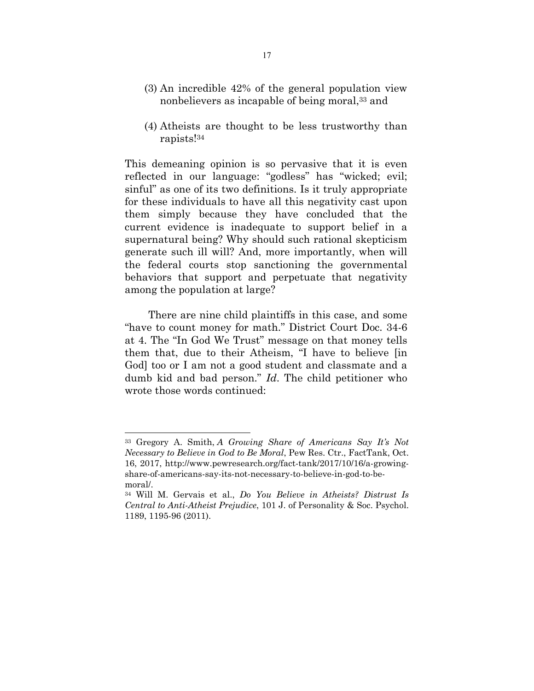- (3) An incredible 42% of the general population view nonbelievers as incapable of being moral,33 and
- (4) Atheists are thought to be less trustworthy than rapists!34

This demeaning opinion is so pervasive that it is even reflected in our language: "godless" has "wicked; evil; sinful" as one of its two definitions. Is it truly appropriate for these individuals to have all this negativity cast upon them simply because they have concluded that the current evidence is inadequate to support belief in a supernatural being? Why should such rational skepticism generate such ill will? And, more importantly, when will the federal courts stop sanctioning the governmental behaviors that support and perpetuate that negativity among the population at large?

There are nine child plaintiffs in this case, and some "have to count money for math." District Court Doc. 34-6 at 4. The "In God We Trust" message on that money tells them that, due to their Atheism, "I have to believe [in God] too or I am not a good student and classmate and a dumb kid and bad person." *Id*. The child petitioner who wrote those words continued:

<sup>33</sup> Gregory A. Smith, *A Growing Share of Americans Say It's Not Necessary to Believe in God to Be Moral*, Pew Res. Ctr., FactTank, Oct. 16, 2017, http://www.pewresearch.org/fact-tank/2017/10/16/a-growingshare-of-americans-say-its-not-necessary-to-believe-in-god-to-bemoral/.

<sup>34</sup> Will M. Gervais et al., *Do You Believe in Atheists? Distrust Is Central to Anti-Atheist Prejudice*, 101 J. of Personality & Soc. Psychol. 1189, 1195-96 (2011).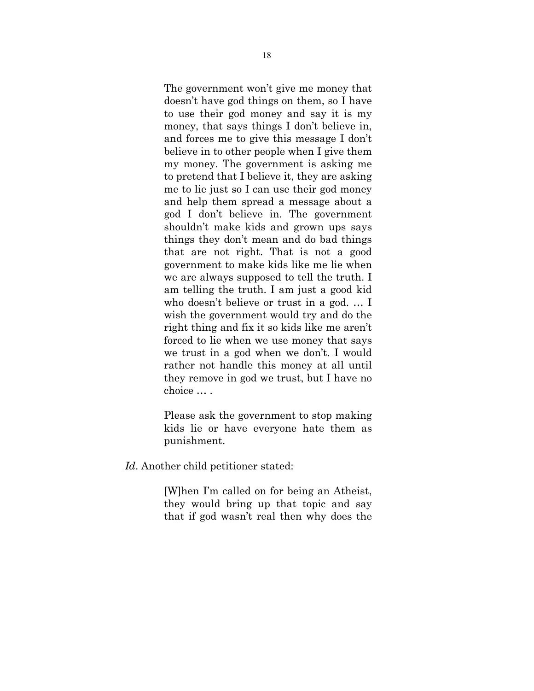The government won't give me money that doesn't have god things on them, so I have to use their god money and say it is my money, that says things I don't believe in, and forces me to give this message I don't believe in to other people when I give them my money. The government is asking me to pretend that I believe it, they are asking me to lie just so I can use their god money and help them spread a message about a god I don't believe in. The government shouldn't make kids and grown ups says things they don't mean and do bad things that are not right. That is not a good government to make kids like me lie when we are always supposed to tell the truth. I am telling the truth. I am just a good kid who doesn't believe or trust in a god. … I wish the government would try and do the right thing and fix it so kids like me aren't forced to lie when we use money that says we trust in a god when we don't. I would rather not handle this money at all until they remove in god we trust, but I have no choice … .

Please ask the government to stop making kids lie or have everyone hate them as punishment.

*Id*. Another child petitioner stated:

[W]hen I'm called on for being an Atheist, they would bring up that topic and say that if god wasn't real then why does the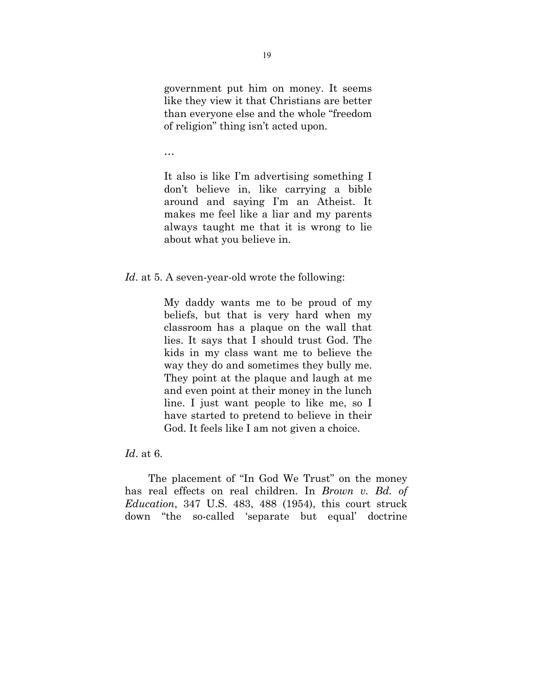government put him on money. It seems like they view it that Christians are better than everyone else and the whole "freedom of religion" thing isn't acted upon.

…

It also is like I'm advertising something I don't believe in, like carrying a bible around and saying I'm an Atheist. It makes me feel like a liar and my parents always taught me that it is wrong to lie about what you believe in.

*Id*. at 5. A seven-year-old wrote the following:

My daddy wants me to be proud of my beliefs, but that is very hard when my classroom has a plaque on the wall that lies. It says that I should trust God. The kids in my class want me to believe the way they do and sometimes they bully me. They point at the plaque and laugh at me and even point at their money in the lunch line. I just want people to like me, so I have started to pretend to believe in their God. It feels like I am not given a choice.

*Id*. at 6.

The placement of "In God We Trust" on the money has real effects on real children. In *Brown v. Bd. of Education*, 347 U.S. 483, 488 (1954), this court struck down "the so-called 'separate but equal' doctrine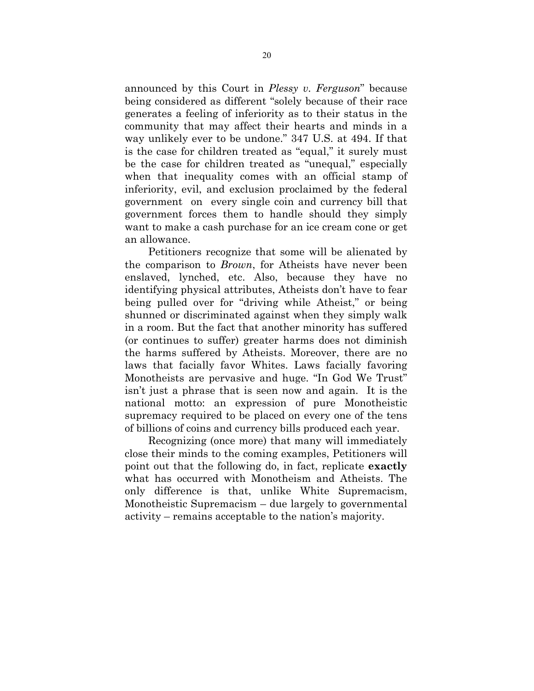announced by this Court in *Plessy v. Ferguson*" because being considered as different "solely because of their race generates a feeling of inferiority as to their status in the community that may affect their hearts and minds in a way unlikely ever to be undone." 347 U.S. at 494. If that is the case for children treated as "equal," it surely must be the case for children treated as "unequal," especially when that inequality comes with an official stamp of inferiority, evil, and exclusion proclaimed by the federal government on every single coin and currency bill that government forces them to handle should they simply want to make a cash purchase for an ice cream cone or get an allowance.

Petitioners recognize that some will be alienated by the comparison to *Brown*, for Atheists have never been enslaved, lynched, etc. Also, because they have no identifying physical attributes, Atheists don't have to fear being pulled over for "driving while Atheist," or being shunned or discriminated against when they simply walk in a room. But the fact that another minority has suffered (or continues to suffer) greater harms does not diminish the harms suffered by Atheists. Moreover, there are no laws that facially favor Whites. Laws facially favoring Monotheists are pervasive and huge. "In God We Trust" isn't just a phrase that is seen now and again. It is the national motto: an expression of pure Monotheistic supremacy required to be placed on every one of the tens of billions of coins and currency bills produced each year.

Recognizing (once more) that many will immediately close their minds to the coming examples, Petitioners will point out that the following do, in fact, replicate **exactly** what has occurred with Monotheism and Atheists. The only difference is that, unlike White Supremacism, Monotheistic Supremacism – due largely to governmental activity – remains acceptable to the nation's majority.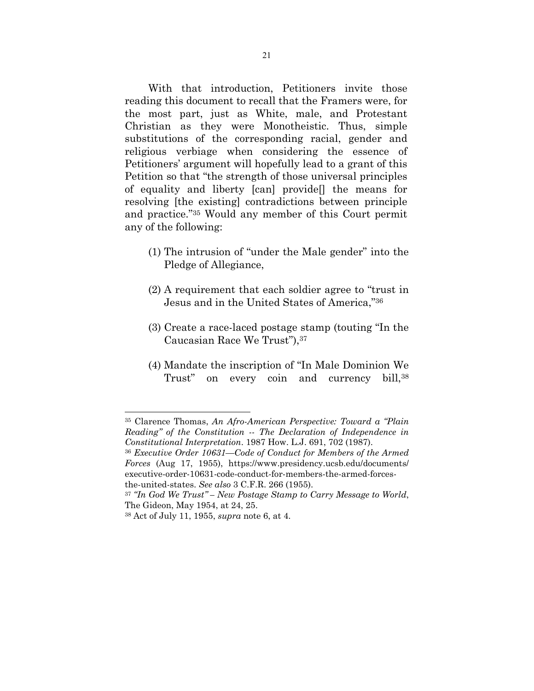With that introduction, Petitioners invite those reading this document to recall that the Framers were, for the most part, just as White, male, and Protestant Christian as they were Monotheistic. Thus, simple substitutions of the corresponding racial, gender and religious verbiage when considering the essence of Petitioners' argument will hopefully lead to a grant of this Petition so that "the strength of those universal principles of equality and liberty [can] provide[] the means for resolving [the existing] contradictions between principle and practice."35 Would any member of this Court permit any of the following:

- (1) The intrusion of "under the Male gender" into the Pledge of Allegiance,
- (2) A requirement that each soldier agree to "trust in Jesus and in the United States of America,"36
- (3) Create a race-laced postage stamp (touting "In the Caucasian Race We Trust"),37
- (4) Mandate the inscription of "In Male Dominion We Trust" on every coin and currency bill, 38

<sup>36</sup> *Executive Order 10631—Code of Conduct for Members of the Armed Forces* (Aug 17, 1955), https://www.presidency.ucsb.edu/documents/ executive-order-10631-code-conduct-for-members-the-armed-forcesthe-united-states. *See also* 3 C.F.R. 266 (1955).

<sup>35</sup> Clarence Thomas, *An Afro-American Perspective: Toward a "Plain Reading" of the Constitution -- The Declaration of Independence in Constitutional Interpretation*. 1987 How. L.J. 691, 702 (1987).

<sup>37</sup> *"In God We Trust" – New Postage Stamp to Carry Message to World*, The Gideon, May 1954, at 24, 25.

<sup>38</sup> Act of July 11, 1955, *supra* note 6, at 4.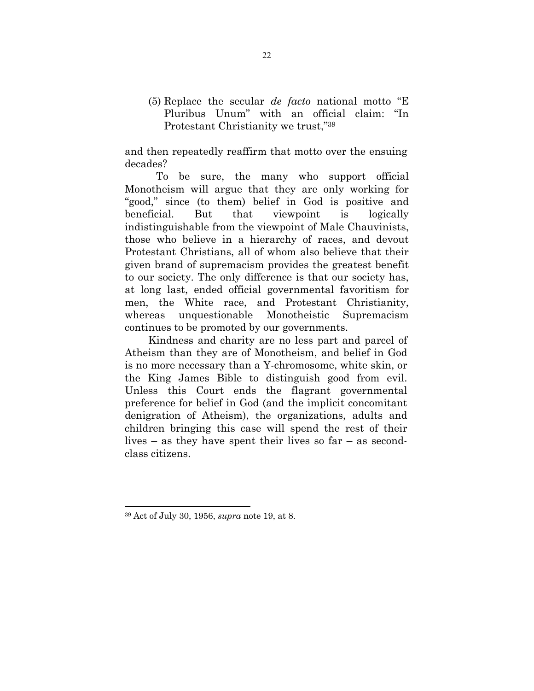(5) Replace the secular *de facto* national motto "E Pluribus Unum" with an official claim: "In Protestant Christianity we trust,"39

and then repeatedly reaffirm that motto over the ensuing decades?

To be sure, the many who support official Monotheism will argue that they are only working for "good," since (to them) belief in God is positive and beneficial. But that viewpoint is logically indistinguishable from the viewpoint of Male Chauvinists, those who believe in a hierarchy of races, and devout Protestant Christians, all of whom also believe that their given brand of supremacism provides the greatest benefit to our society. The only difference is that our society has, at long last, ended official governmental favoritism for men, the White race, and Protestant Christianity, whereas unquestionable Monotheistic Supremacism continues to be promoted by our governments.

Kindness and charity are no less part and parcel of Atheism than they are of Monotheism, and belief in God is no more necessary than a Y-chromosome, white skin, or the King James Bible to distinguish good from evil. Unless this Court ends the flagrant governmental preference for belief in God (and the implicit concomitant denigration of Atheism), the organizations, adults and children bringing this case will spend the rest of their lives – as they have spent their lives so far – as secondclass citizens.

<sup>39</sup> Act of July 30, 1956, *supra* note 19, at 8.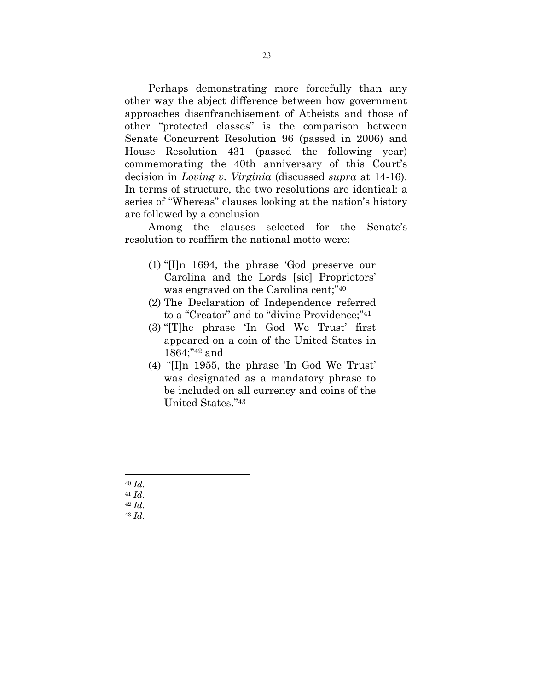Perhaps demonstrating more forcefully than any other way the abject difference between how government approaches disenfranchisement of Atheists and those of other "protected classes" is the comparison between Senate Concurrent Resolution 96 (passed in 2006) and House Resolution 431 (passed the following year) commemorating the 40th anniversary of this Court's decision in *Loving v. Virginia* (discussed *supra* at 14-16). In terms of structure, the two resolutions are identical: a series of "Whereas" clauses looking at the nation's history are followed by a conclusion.

Among the clauses selected for the Senate's resolution to reaffirm the national motto were:

- (1) "[I]n 1694, the phrase 'God preserve our Carolina and the Lords [sic] Proprietors' was engraved on the Carolina cent;"40
- (2) The Declaration of Independence referred to a "Creator" and to "divine Providence;"41
- (3) "[T]he phrase 'In God We Trust' first appeared on a coin of the United States in 1864;"42 and
- (4) "[I]n 1955, the phrase 'In God We Trust' was designated as a mandatory phrase to be included on all currency and coins of the United States."43

40 *Id*. 41 *Id*. 42 *Id*. 43 *Id*.

 $\overline{a}$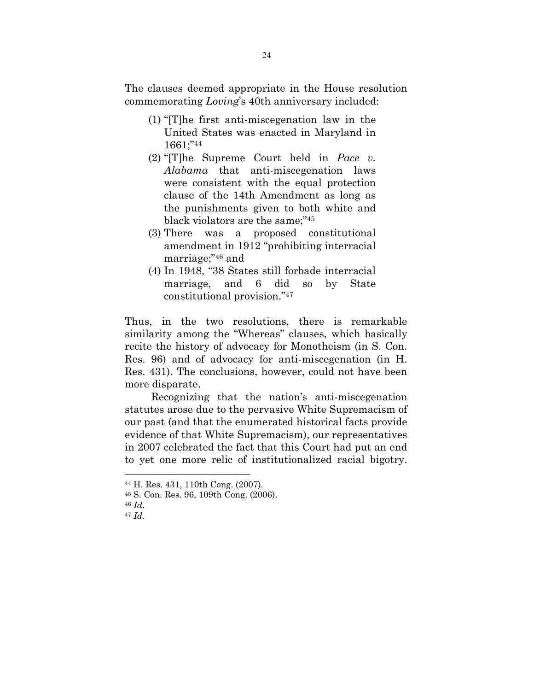The clauses deemed appropriate in the House resolution commemorating *Loving*'s 40th anniversary included:

- (1) "[T]he first anti-miscegenation law in the United States was enacted in Maryland in 1661;"44
- (2) "[T]he Supreme Court held in *Pace v. Alabama* that anti-miscegenation laws were consistent with the equal protection clause of the 14th Amendment as long as the punishments given to both white and black violators are the same;"45
- (3) There was a proposed constitutional amendment in 1912 "prohibiting interracial marriage;"46 and
- (4) In 1948, "38 States still forbade interracial marriage, and 6 did so by State constitutional provision."47

Thus, in the two resolutions, there is remarkable similarity among the "Whereas" clauses, which basically recite the history of advocacy for Monotheism (in S. Con. Res. 96) and of advocacy for anti-miscegenation (in H. Res. 431). The conclusions, however, could not have been more disparate.

 Recognizing that the nation's anti-miscegenation statutes arose due to the pervasive White Supremacism of our past (and that the enumerated historical facts provide evidence of that White Supremacism), our representatives in 2007 celebrated the fact that this Court had put an end to yet one more relic of institutionalized racial bigotry.

 $\overline{a}$ 

<sup>44</sup> H. Res. 431, 110th Cong. (2007).

<sup>45</sup> S. Con. Res. 96, 109th Cong. (2006).

<sup>46</sup> *Id*. 47 *Id*.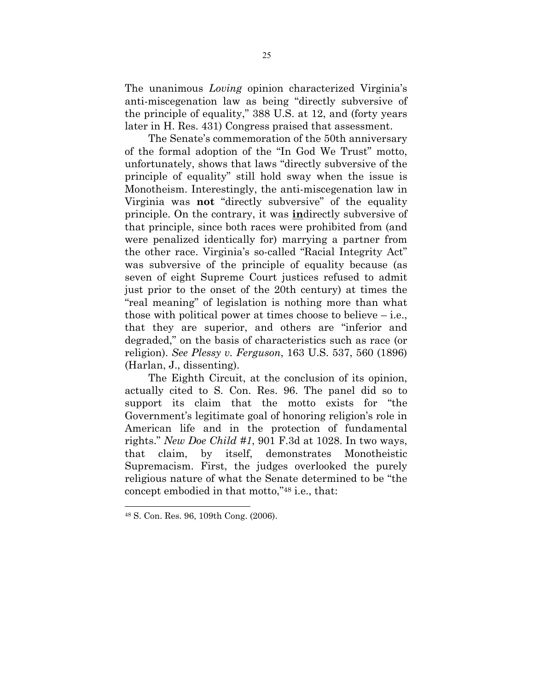The unanimous *Loving* opinion characterized Virginia's anti-miscegenation law as being "directly subversive of the principle of equality," 388 U.S. at 12, and (forty years later in H. Res. 431) Congress praised that assessment.

The Senate's commemoration of the 50th anniversary of the formal adoption of the "In God We Trust" motto, unfortunately, shows that laws "directly subversive of the principle of equality" still hold sway when the issue is Monotheism. Interestingly, the anti-miscegenation law in Virginia was **not** "directly subversive" of the equality principle. On the contrary, it was **in**directly subversive of that principle, since both races were prohibited from (and were penalized identically for) marrying a partner from the other race. Virginia's so-called "Racial Integrity Act" was subversive of the principle of equality because (as seven of eight Supreme Court justices refused to admit just prior to the onset of the 20th century) at times the "real meaning" of legislation is nothing more than what those with political power at times choose to believe  $-$  i.e., that they are superior, and others are "inferior and degraded," on the basis of characteristics such as race (or religion). *See Plessy v. Ferguson*, 163 U.S. 537, 560 (1896) (Harlan, J., dissenting).

The Eighth Circuit, at the conclusion of its opinion, actually cited to S. Con. Res. 96. The panel did so to support its claim that the motto exists for "the Government's legitimate goal of honoring religion's role in American life and in the protection of fundamental rights." *New Doe Child #1*, 901 F.3d at 1028. In two ways, that claim, by itself, demonstrates Monotheistic Supremacism. First, the judges overlooked the purely religious nature of what the Senate determined to be "the concept embodied in that motto,"48 i.e., that:

<sup>48</sup> S. Con. Res. 96, 109th Cong. (2006).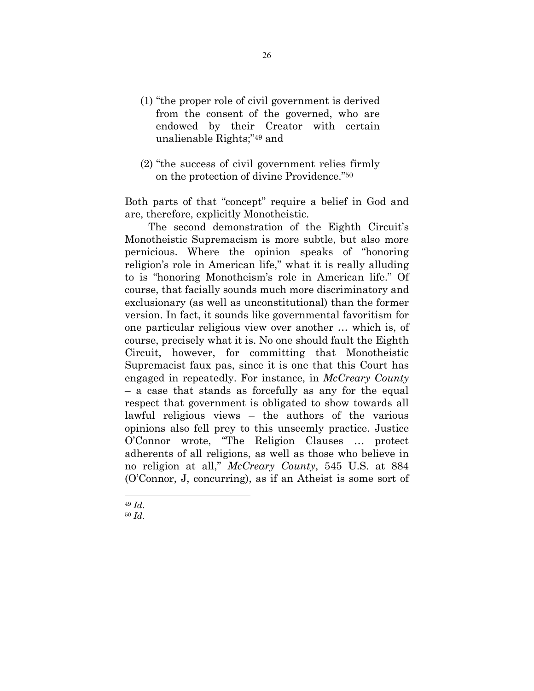- (1) "the proper role of civil government is derived from the consent of the governed, who are endowed by their Creator with certain unalienable Rights;"49 and
- (2) "the success of civil government relies firmly on the protection of divine Providence."50

Both parts of that "concept" require a belief in God and are, therefore, explicitly Monotheistic.

The second demonstration of the Eighth Circuit's Monotheistic Supremacism is more subtle, but also more pernicious. Where the opinion speaks of "honoring religion's role in American life," what it is really alluding to is "honoring Monotheism's role in American life." Of course, that facially sounds much more discriminatory and exclusionary (as well as unconstitutional) than the former version. In fact, it sounds like governmental favoritism for one particular religious view over another … which is, of course, precisely what it is. No one should fault the Eighth Circuit, however, for committing that Monotheistic Supremacist faux pas, since it is one that this Court has engaged in repeatedly. For instance, in *McCreary County*  – a case that stands as forcefully as any for the equal respect that government is obligated to show towards all lawful religious views – the authors of the various opinions also fell prey to this unseemly practice. Justice O'Connor wrote, "The Religion Clauses … protect adherents of all religions, as well as those who believe in no religion at all," *McCreary County*, 545 U.S. at 884 (O'Connor, J, concurring), as if an Atheist is some sort of

<sup>49</sup> *Id*. 50 *Id*.

 $\overline{a}$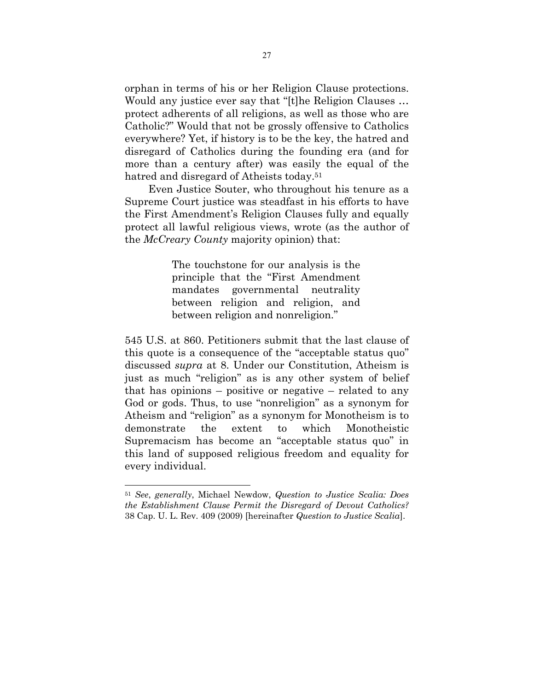orphan in terms of his or her Religion Clause protections. Would any justice ever say that "[t]he Religion Clauses … protect adherents of all religions, as well as those who are Catholic?" Would that not be grossly offensive to Catholics everywhere? Yet, if history is to be the key, the hatred and disregard of Catholics during the founding era (and for more than a century after) was easily the equal of the hatred and disregard of Atheists today.<sup>51</sup>

Even Justice Souter, who throughout his tenure as a Supreme Court justice was steadfast in his efforts to have the First Amendment's Religion Clauses fully and equally protect all lawful religious views, wrote (as the author of the *McCreary County* majority opinion) that:

> The touchstone for our analysis is the principle that the "First Amendment mandates governmental neutrality between religion and religion, and between religion and nonreligion."

545 U.S. at 860. Petitioners submit that the last clause of this quote is a consequence of the "acceptable status quo" discussed *supra* at 8. Under our Constitution, Atheism is just as much "religion" as is any other system of belief that has opinions – positive or negative – related to any God or gods. Thus, to use "nonreligion" as a synonym for Atheism and "religion" as a synonym for Monotheism is to demonstrate the extent to which Monotheistic Supremacism has become an "acceptable status quo" in this land of supposed religious freedom and equality for every individual.

 $\overline{a}$ 

<sup>51</sup> *See*, *generally*, Michael Newdow, *Question to Justice Scalia: Does the Establishment Clause Permit the Disregard of Devout Catholics?* 38 Cap. U. L. Rev. 409 (2009) [hereinafter *Question to Justice Scalia*].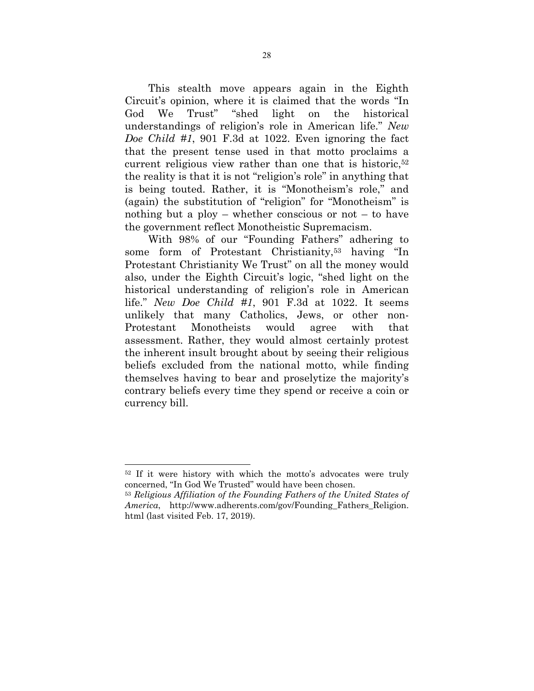This stealth move appears again in the Eighth Circuit's opinion, where it is claimed that the words "In God We Trust" "shed light on the historical understandings of religion's role in American life." *New Doe Child #1*, 901 F.3d at 1022. Even ignoring the fact that the present tense used in that motto proclaims a current religious view rather than one that is historic,<sup>52</sup> the reality is that it is not "religion's role" in anything that is being touted. Rather, it is "Monotheism's role," and (again) the substitution of "religion" for "Monotheism" is nothing but a ploy – whether conscious or not – to have the government reflect Monotheistic Supremacism.

With 98% of our "Founding Fathers" adhering to some form of Protestant Christianity,53 having "In Protestant Christianity We Trust" on all the money would also, under the Eighth Circuit's logic, "shed light on the historical understanding of religion's role in American life." *New Doe Child #1*, 901 F.3d at 1022. It seems unlikely that many Catholics, Jews, or other non-Protestant Monotheists would agree with that assessment. Rather, they would almost certainly protest the inherent insult brought about by seeing their religious beliefs excluded from the national motto, while finding themselves having to bear and proselytize the majority's contrary beliefs every time they spend or receive a coin or currency bill.

<sup>52</sup> If it were history with which the motto's advocates were truly concerned, "In God We Trusted" would have been chosen.

<sup>53</sup> *Religious Affiliation of the Founding Fathers of the United States of America*, http://www.adherents.com/gov/Founding\_Fathers\_Religion. html (last visited Feb. 17, 2019).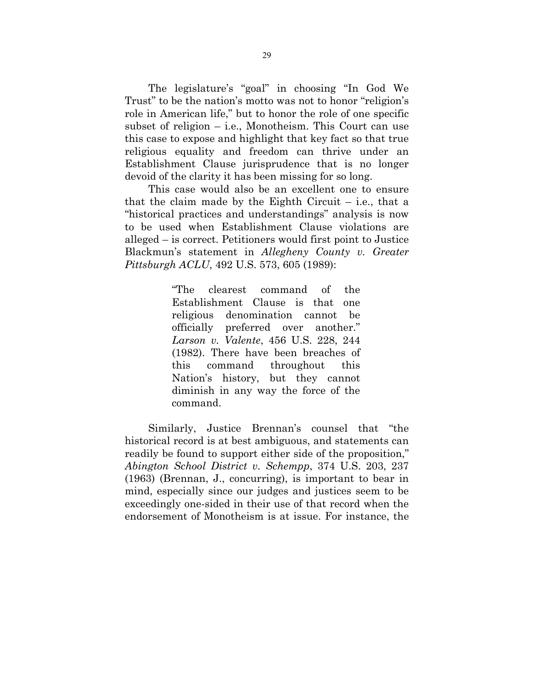The legislature's "goal" in choosing "In God We Trust" to be the nation's motto was not to honor "religion's role in American life," but to honor the role of one specific subset of religion – i.e., Monotheism. This Court can use this case to expose and highlight that key fact so that true religious equality and freedom can thrive under an Establishment Clause jurisprudence that is no longer devoid of the clarity it has been missing for so long.

This case would also be an excellent one to ensure that the claim made by the Eighth Circuit  $-$  i.e., that a "historical practices and understandings" analysis is now to be used when Establishment Clause violations are alleged – is correct. Petitioners would first point to Justice Blackmun's statement in *Allegheny County v. Greater Pittsburgh ACLU*, 492 U.S. 573, 605 (1989):

> "The clearest command of the Establishment Clause is that one religious denomination cannot be officially preferred over another." *Larson v. Valente*, 456 U.S. 228, 244 (1982). There have been breaches of this command throughout this Nation's history, but they cannot diminish in any way the force of the command.

Similarly, Justice Brennan's counsel that "the historical record is at best ambiguous, and statements can readily be found to support either side of the proposition," *Abington School District v. Schempp*, 374 U.S. 203, 237 (1963) (Brennan, J., concurring), is important to bear in mind, especially since our judges and justices seem to be exceedingly one-sided in their use of that record when the endorsement of Monotheism is at issue. For instance, the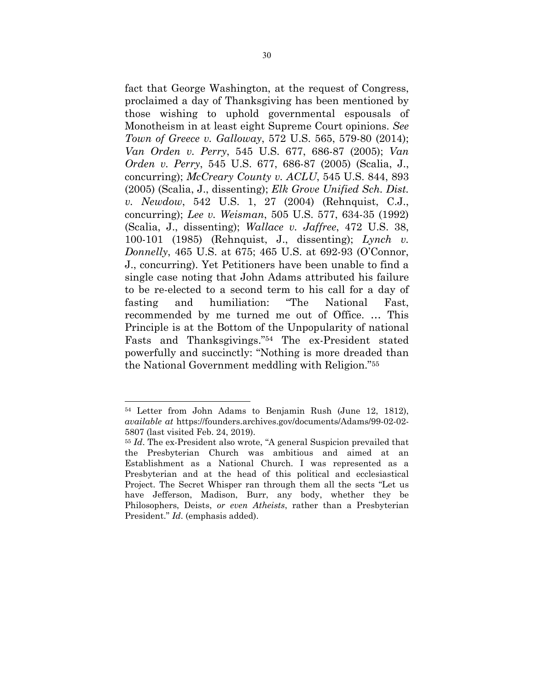fact that George Washington, at the request of Congress, proclaimed a day of Thanksgiving has been mentioned by those wishing to uphold governmental espousals of Monotheism in at least eight Supreme Court opinions. *See Town of Greece v. Galloway*, 572 U.S. 565, 579-80 (2014); *Van Orden v. Perry*, 545 U.S. 677, 686-87 (2005); *Van Orden v. Perry*, 545 U.S. 677, 686-87 (2005) (Scalia, J., concurring); *McCreary County v. ACLU*, 545 U.S. 844, 893 (2005) (Scalia, J., dissenting); *Elk Grove Unified Sch. Dist. v. Newdow*, 542 U.S. 1, 27 (2004) (Rehnquist, C.J., concurring); *Lee v. Weisman*, 505 U.S. 577, 634-35 (1992) (Scalia, J., dissenting); *Wallace v. Jaffree*, 472 U.S. 38, 100-101 (1985) (Rehnquist, J., dissenting); *Lynch v. Donnelly*, 465 U.S. at 675; 465 U.S. at 692-93 (O'Connor, J., concurring). Yet Petitioners have been unable to find a single case noting that John Adams attributed his failure to be re-elected to a second term to his call for a day of fasting and humiliation: "The National Fast, recommended by me turned me out of Office. … This Principle is at the Bottom of the Unpopularity of national Fasts and Thanksgivings."54 The ex-President stated powerfully and succinctly: "Nothing is more dreaded than the National Government meddling with Religion."55

<sup>54</sup> Letter from John Adams to Benjamin Rush (June 12, 1812), *available at* https://founders.archives.gov/documents/Adams/99-02-02- 5807 (last visited Feb. 24, 2019).

<sup>55</sup> *Id*. The ex-President also wrote, "A general Suspicion prevailed that the Presbyterian Church was ambitious and aimed at an Establishment as a National Church. I was represented as a Presbyterian and at the head of this political and ecclesiastical Project. The Secret Whisper ran through them all the sects "Let us have Jefferson, Madison, Burr, any body, whether they be Philosophers, Deists, *or even Atheists*, rather than a Presbyterian President." *Id*. (emphasis added).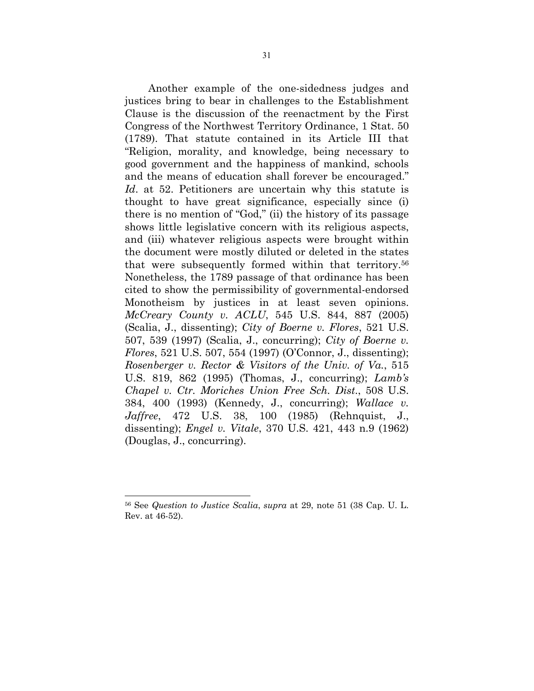Another example of the one-sidedness judges and justices bring to bear in challenges to the Establishment Clause is the discussion of the reenactment by the First Congress of the Northwest Territory Ordinance, 1 Stat. 50 (1789). That statute contained in its Article III that "Religion, morality, and knowledge, being necessary to good government and the happiness of mankind, schools and the means of education shall forever be encouraged." *Id*. at 52. Petitioners are uncertain why this statute is thought to have great significance, especially since (i) there is no mention of "God," (ii) the history of its passage shows little legislative concern with its religious aspects, and (iii) whatever religious aspects were brought within the document were mostly diluted or deleted in the states that were subsequently formed within that territory.56 Nonetheless, the 1789 passage of that ordinance has been cited to show the permissibility of governmental-endorsed Monotheism by justices in at least seven opinions. *McCreary County v. ACLU*, 545 U.S. 844, 887 (2005) (Scalia, J., dissenting); *City of Boerne v. Flores*, 521 U.S. 507, 539 (1997) (Scalia, J., concurring); *City of Boerne v. Flores*, 521 U.S. 507, 554 (1997) (O'Connor, J., dissenting); *Rosenberger v. Rector & Visitors of the Univ. of Va.*, 515 U.S. 819, 862 (1995) (Thomas, J., concurring); *Lamb's Chapel v. Ctr. Moriches Union Free Sch. Dist*., 508 U.S. 384, 400 (1993) (Kennedy, J., concurring); *Wallace v. Jaffree*, 472 U.S. 38, 100 (1985) (Rehnquist, J., dissenting); *Engel v. Vitale*, 370 U.S. 421, 443 n.9 (1962) (Douglas, J., concurring).

<sup>56</sup> See *Question to Justice Scalia*, *supra* at 29, note 51 (38 Cap. U. L. Rev. at 46-52).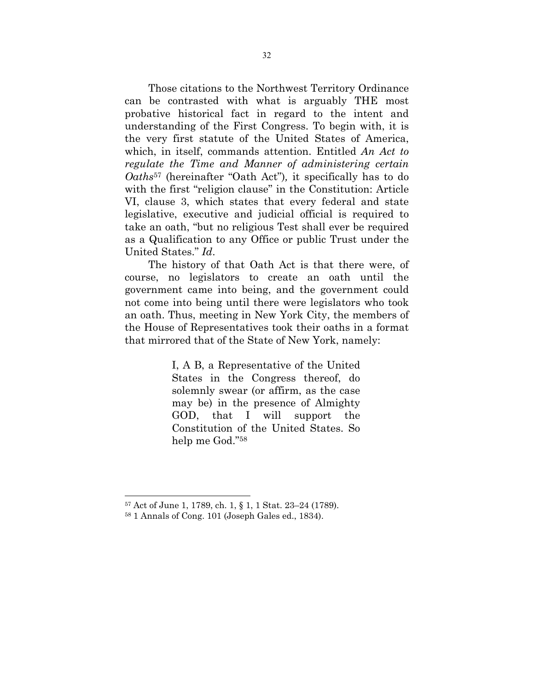Those citations to the Northwest Territory Ordinance can be contrasted with what is arguably THE most probative historical fact in regard to the intent and understanding of the First Congress. To begin with, it is the very first statute of the United States of America, which, in itself, commands attention. Entitled *An Act to regulate the Time and Manner of administering certain Oaths*<sup>57</sup> (hereinafter "Oath Act")*,* it specifically has to do with the first "religion clause" in the Constitution: Article VI, clause 3, which states that every federal and state legislative, executive and judicial official is required to take an oath, "but no religious Test shall ever be required as a Qualification to any Office or public Trust under the United States." *Id*.

The history of that Oath Act is that there were, of course, no legislators to create an oath until the government came into being, and the government could not come into being until there were legislators who took an oath. Thus, meeting in New York City, the members of the House of Representatives took their oaths in a format that mirrored that of the State of New York, namely:

> I, A B, a Representative of the United States in the Congress thereof, do solemnly swear (or affirm, as the case may be) in the presence of Almighty GOD, that I will support the Constitution of the United States. So help me God."58

<sup>57</sup> Act of June 1, 1789, ch. 1, § 1, 1 Stat. 23–24 (1789).

<sup>58 1</sup> Annals of Cong. 101 (Joseph Gales ed., 1834).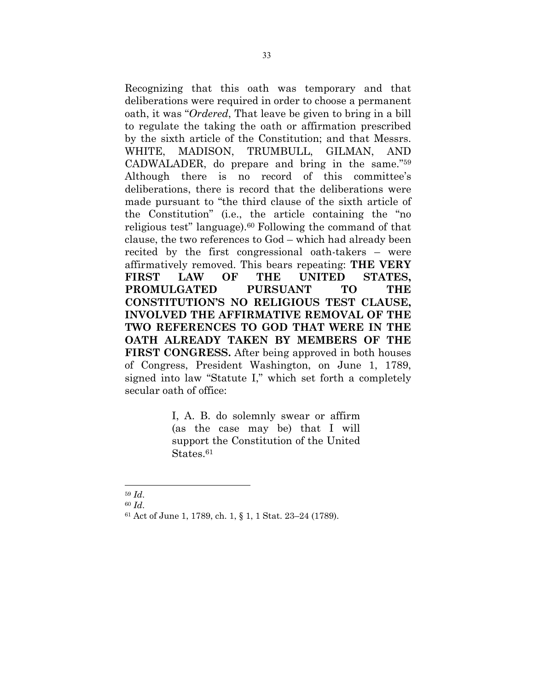Recognizing that this oath was temporary and that deliberations were required in order to choose a permanent oath, it was "*Ordered*, That leave be given to bring in a bill to regulate the taking the oath or affirmation prescribed by the sixth article of the Constitution; and that Messrs. WHITE, MADISON, TRUMBULL, GILMAN, AND CADWALADER, do prepare and bring in the same."59 Although there is no record of this committee's deliberations, there is record that the deliberations were made pursuant to "the third clause of the sixth article of the Constitution" (i.e., the article containing the "no religious test" language).60 Following the command of that clause, the two references to God – which had already been recited by the first congressional oath-takers – were affirmatively removed. This bears repeating: **THE VERY FIRST LAW OF THE UNITED STATES, PROMULGATED PURSUANT TO THE CONSTITUTION'S NO RELIGIOUS TEST CLAUSE, INVOLVED THE AFFIRMATIVE REMOVAL OF THE TWO REFERENCES TO GOD THAT WERE IN THE OATH ALREADY TAKEN BY MEMBERS OF THE FIRST CONGRESS.** After being approved in both houses of Congress, President Washington, on June 1, 1789, signed into law "Statute I," which set forth a completely secular oath of office:

> I, A. B. do solemnly swear or affirm (as the case may be) that I will support the Constitution of the United States.<sup>61</sup>

 $\overline{a}$ 

<sup>59</sup> *Id*. 60 *Id*. 61 Act of June 1, 1789, ch. 1, § 1, 1 Stat. 23–24 (1789).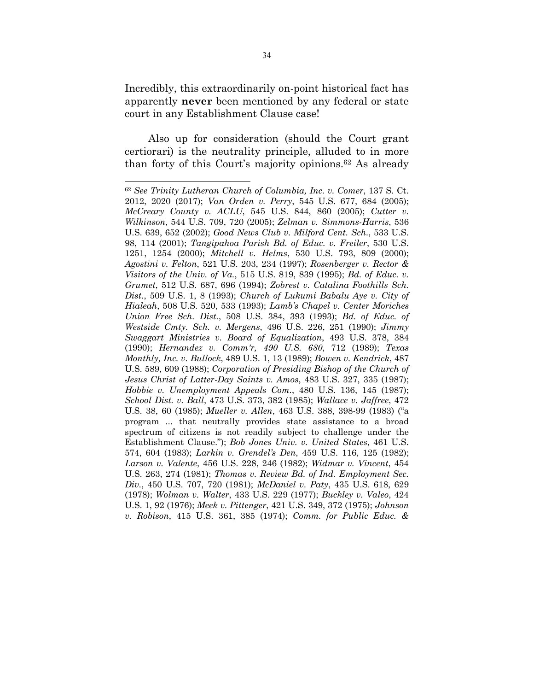Incredibly, this extraordinarily on-point historical fact has apparently **never** been mentioned by any federal or state court in any Establishment Clause case!

Also up for consideration (should the Court grant certiorari) is the neutrality principle, alluded to in more than forty of this Court's majority opinions.62 As already

<sup>62</sup> *See Trinity Lutheran Church of Columbia, Inc. v. Comer*, 137 S. Ct. 2012, 2020 (2017); *Van Orden v. Perry*, 545 U.S. 677, 684 (2005); *McCreary County v. ACLU*, 545 U.S. 844, 860 (2005); *Cutter v. Wilkinson*, 544 U.S. 709, 720 (2005); *Zelman v. Simmons-Harris*, 536 U.S. 639, 652 (2002); *Good News Club v. Milford Cent. Sch.*, 533 U.S. 98, 114 (2001); *Tangipahoa Parish Bd. of Educ. v. Freiler*, 530 U.S. 1251, 1254 (2000); *Mitchell v. Helms*, 530 U.S. 793, 809 (2000); *Agostini v. Felton*, 521 U.S. 203, 234 (1997); *Rosenberger v. Rector & Visitors of the Univ. of Va.*, 515 U.S. 819, 839 (1995); *Bd. of Educ. v. Grumet*, 512 U.S. 687, 696 (1994); *Zobrest v. Catalina Foothills Sch. Dist.*, 509 U.S. 1, 8 (1993); *Church of Lukumi Babalu Aye v. City of Hialeah*, 508 U.S. 520, 533 (1993); *Lamb's Chapel v. Center Moriches Union Free Sch. Dist.*, 508 U.S. 384, 393 (1993); *Bd. of Educ. of Westside Cmty. Sch. v. Mergens*, 496 U.S. 226, 251 (1990); *Jimmy Swaggart Ministries v. Board of Equalization*, 493 U.S. 378, 384 (1990); *Hernandez v. Comm'r, 490 U.S. 680*, 712 (1989); *Texas Monthly, Inc. v. Bullock*, 489 U.S. 1, 13 (1989); *Bowen v. Kendrick*, 487 U.S. 589, 609 (1988); *Corporation of Presiding Bishop of the Church of Jesus Christ of Latter-Day Saints v. Amos*, 483 U.S. 327, 335 (1987); *Hobbie v. Unemployment Appeals Com.*, 480 U.S. 136, 145 (1987); *School Dist. v. Ball*, 473 U.S. 373, 382 (1985); *Wallace v. Jaffree*, 472 U.S. 38, 60 (1985); *Mueller v. Allen*, 463 U.S. 388, 398-99 (1983) ("a program ... that neutrally provides state assistance to a broad spectrum of citizens is not readily subject to challenge under the Establishment Clause."); *Bob Jones Univ. v. United States*, 461 U.S. 574, 604 (1983); *Larkin v. Grendel's Den*, 459 U.S. 116, 125 (1982); *Larson v. Valente*, 456 U.S. 228, 246 (1982); *Widmar v. Vincent*, 454 U.S. 263, 274 (1981); *Thomas v. Review Bd. of Ind. Employment Sec. Div.*, 450 U.S. 707, 720 (1981); *McDaniel v. Paty*, 435 U.S. 618, 629 (1978); *Wolman v. Walter*, 433 U.S. 229 (1977); *Buckley v. Valeo*, 424 U.S. 1, 92 (1976); *Meek v. Pittenger*, 421 U.S. 349, 372 (1975); *Johnson v. Robison*, 415 U.S. 361, 385 (1974); *Comm. for Public Educ. &*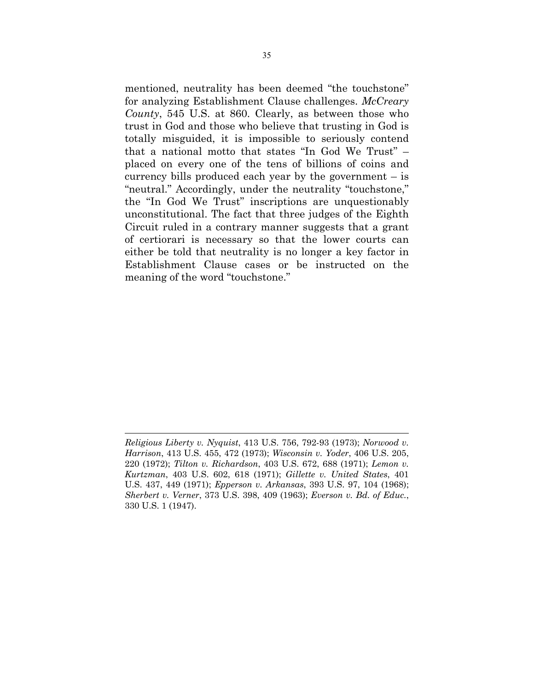mentioned, neutrality has been deemed "the touchstone" for analyzing Establishment Clause challenges. *McCreary County*, 545 U.S. at 860. Clearly, as between those who trust in God and those who believe that trusting in God is totally misguided, it is impossible to seriously contend that a national motto that states "In God We Trust" – placed on every one of the tens of billions of coins and currency bills produced each year by the government – is "neutral." Accordingly, under the neutrality "touchstone," the "In God We Trust" inscriptions are unquestionably unconstitutional. The fact that three judges of the Eighth Circuit ruled in a contrary manner suggests that a grant of certiorari is necessary so that the lower courts can either be told that neutrality is no longer a key factor in Establishment Clause cases or be instructed on the meaning of the word "touchstone."

*Religious Liberty v. Nyquist*, 413 U.S. 756, 792-93 (1973); *Norwood v. Harrison*, 413 U.S. 455, 472 (1973); *Wisconsin v. Yoder*, 406 U.S. 205, 220 (1972); *Tilton v. Richardson*, 403 U.S. 672, 688 (1971); *Lemon v. Kurtzman*, 403 U.S. 602, 618 (1971); *Gillette v. United States*, 401 U.S. 437, 449 (1971); *Epperson v. Arkansas*, 393 U.S. 97, 104 (1968); *Sherbert v. Verner*, 373 U.S. 398, 409 (1963); *Everson v. Bd. of Educ.*, 330 U.S. 1 (1947).